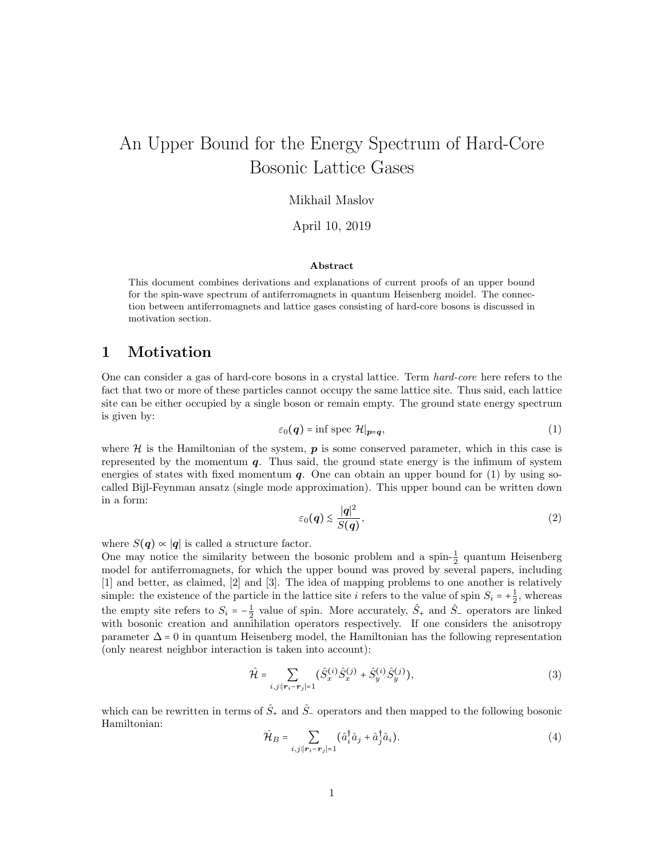# An Upper Bound for the Energy Spectrum of Hard-Core Bosonic Lattice Gases

### Mikhail Maslov

April 10, 2019

#### Abstract

This document combines derivations and explanations of current proofs of an upper bound for the spin-wave spectrum of antiferromagnets in quantum Heisenberg moidel. The connection between antiferromagnets and lattice gases consisting of hard-core bosons is discussed in motivation section.

### 1 Motivation

One can consider a gas of hard-core bosons in a crystal lattice. Term hard-core here refers to the fact that two or more of these particles cannot occupy the same lattice site. Thus said, each lattice site can be either occupied by a single boson or remain empty. The ground state energy spectrum is given by:

$$
\varepsilon_0(\boldsymbol{q}) = \inf \operatorname{spec} \mathcal{H}|_{\boldsymbol{p} = \boldsymbol{q}},\tag{1}
$$

where  $\mathcal H$  is the Hamiltonian of the system,  $p$  is some conserved parameter, which in this case is represented by the momentum  $q$ . Thus said, the ground state energy is the infimum of system energies of states with fixed momentum  $q$ . One can obtain an upper bound for (1) by using socalled Bijl-Feynman ansatz (single mode approximation). This upper bound can be written down in a form:

$$
\varepsilon_0(\boldsymbol{q}) \lesssim \frac{|\boldsymbol{q}|^2}{S(\boldsymbol{q})},\tag{2}
$$

where  $S(q) \propto |q|$  is called a structure factor.

One may notice the similarity between the bosonic problem and a spin- $\frac{1}{2}$  quantum Heisenberg model for antiferromagnets, for which the upper bound was proved by several papers, including [1] and better, as claimed, [2] and [3]. The idea of mapping problems to one another is relatively simple: the existence of the particle in the lattice site i refers to the value of spin  $S_i = +\frac{1}{2}$ , whereas the empty site refers to  $S_i = -\frac{1}{2}$  value of spin. More accurately,  $\hat{S}_+$  and  $\hat{S}_-$  operators are linked with bosonic creation and annihilation operators respectively. If one considers the anisotropy parameter  $\Delta = 0$  in quantum Heisenberg model, the Hamiltonian has the following representation (only nearest neighbor interaction is taken into account):

$$
\hat{\mathcal{H}} = \sum_{i,j:|\mathbf{r}_i - \mathbf{r}_j| = 1} (\hat{S}_x^{(i)} \hat{S}_x^{(j)} + \hat{S}_y^{(i)} \hat{S}_y^{(j)}),
$$
\n(3)

which can be rewritten in terms of  $\hat{S}_+$  and  $\hat{S}_-$  operators and then mapped to the following bosonic Hamiltonian:

$$
\hat{\mathcal{H}}_B = \sum_{i,j:|\boldsymbol{r}_i - \boldsymbol{r}_j|=1} (\hat{a}_i^\dagger \hat{a}_j + \hat{a}_j^\dagger \hat{a}_i). \tag{4}
$$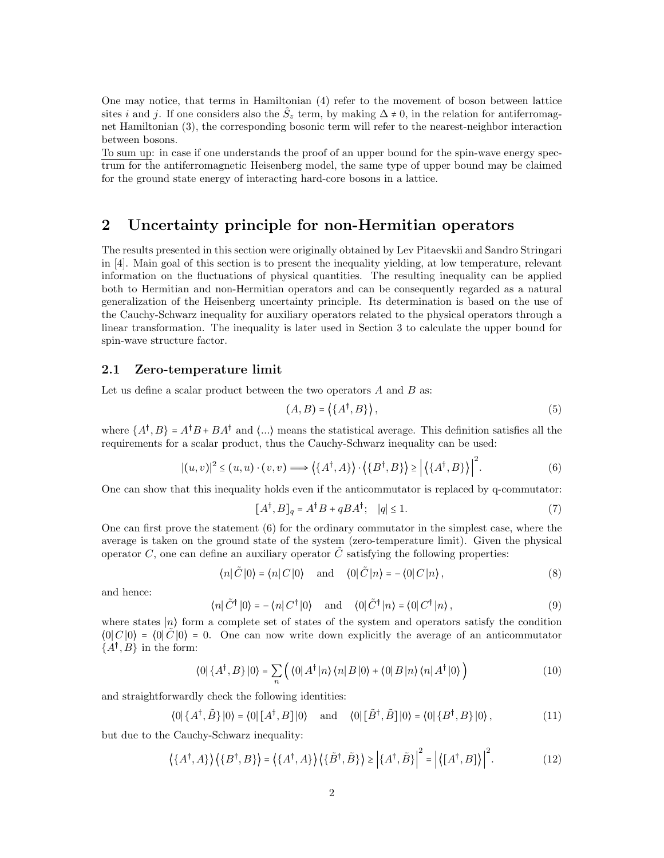One may notice, that terms in Hamiltonian (4) refer to the movement of boson between lattice sites i and j. If one considers also the  $\hat{S}_z$  term, by making  $\Delta \neq 0$ , in the relation for antiferromagnet Hamiltonian (3), the corresponding bosonic term will refer to the nearest-neighbor interaction between bosons.

To sum up: in case if one understands the proof of an upper bound for the spin-wave energy spectrum for the antiferromagnetic Heisenberg model, the same type of upper bound may be claimed for the ground state energy of interacting hard-core bosons in a lattice.

## 2 Uncertainty principle for non-Hermitian operators

The results presented in this section were originally obtained by Lev Pitaevskii and Sandro Stringari in [4]. Main goal of this section is to present the inequality yielding, at low temperature, relevant information on the fluctuations of physical quantities. The resulting inequality can be applied both to Hermitian and non-Hermitian operators and can be consequently regarded as a natural generalization of the Heisenberg uncertainty principle. Its determination is based on the use of the Cauchy-Schwarz inequality for auxiliary operators related to the physical operators through a linear transformation. The inequality is later used in Section 3 to calculate the upper bound for spin-wave structure factor.

#### 2.1 Zero-temperature limit

Let us define a scalar product between the two operators  $A$  and  $B$  as:

$$
(A,B) = \left\langle \{A^{\dagger}, B\} \right\rangle,\tag{5}
$$

where  $\{A^{\dagger}, B\} = A^{\dagger}B + BA^{\dagger}$  and  $\langle ... \rangle$  means the statistical average. This definition satisfies all the requirements for a scalar product, thus the Cauchy-Schwarz inequality can be used:

$$
|(u,v)|^2 \le (u,u) \cdot (v,v) \Longrightarrow \left\langle \{A^\dagger, A\} \right\rangle \cdot \left\langle \{B^\dagger, B\} \right\rangle \ge \left| \left\langle \{A^\dagger, B\} \right\rangle \right|^2. \tag{6}
$$

One can show that this inequality holds even if the anticommutator is replaced by q-commutator:

$$
[A^{\dagger}, B]_q = A^{\dagger} B + q B A^{\dagger}; \quad |q| \le 1. \tag{7}
$$

One can first prove the statement (6) for the ordinary commutator in the simplest case, where the average is taken on the ground state of the system (zero-temperature limit). Given the physical operator C, one can define an auxiliary operator  $\tilde{C}$  satisfying the following properties:

$$
\langle n|\tilde{C}|0\rangle = \langle n|C|0\rangle \quad \text{and} \quad \langle 0|\tilde{C}|n\rangle = -\langle 0|C|n\rangle, \tag{8}
$$

and hence:

$$
\langle n|\tilde{C}^{\dagger}|0\rangle = -\langle n|C^{\dagger}|0\rangle \quad \text{and} \quad \langle 0|\tilde{C}^{\dagger}|n\rangle = \langle 0|C^{\dagger}|n\rangle, \tag{9}
$$

where states |n⟩ form a complete set of states of the system and operators satisfy the condition  $\langle 0|C|0 \rangle = \langle 0|\tilde{C}|0 \rangle = 0$ . One can now write down explicitly the average of an anticommutator  $\{A^{\dagger}, B\}$  in the form:

$$
\langle 0|\left\{A^{\dagger},B\right\}|0\rangle = \sum_{n} \left(\langle 0|A^{\dagger}|n\rangle\langle n|B|0\rangle + \langle 0|B|n\rangle\langle n|A^{\dagger}|0\rangle\right) \tag{10}
$$

and straightforwardly check the following identities:

 $\langle 0 | \{A^{\dagger}, \tilde{B}\} | 0 \rangle = \langle 0 | [A^{\dagger}, B] | 0 \rangle$  and  $\langle 0 | [\tilde{B}^{\dagger}, \tilde{B}] | 0 \rangle = \langle 0 | \{B^{\dagger}, B\} | 0 \rangle$ , (11)

but due to the Cauchy-Schwarz inequality:

$$
\langle \{A^{\dagger}, A\} \rangle \langle \{B^{\dagger}, B\} \rangle = \langle \{A^{\dagger}, A\} \rangle \langle \{\tilde{B}^{\dagger}, \tilde{B}\} \rangle \ge |\{A^{\dagger}, \tilde{B}\} |^{2} = |\langle [A^{\dagger}, B] \rangle|^{2}.
$$
 (12)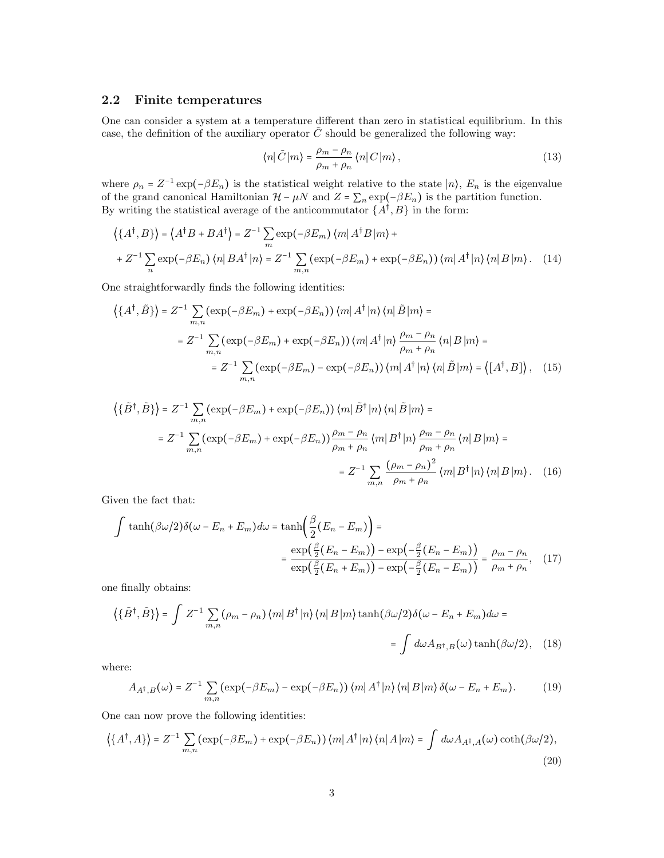### 2.2 Finite temperatures

One can consider a system at a temperature different than zero in statistical equilibrium. In this case, the definition of the auxiliary operator  $\tilde{C}$  should be generalized the following way:

$$
\langle n|\tilde{C}|m\rangle = \frac{\rho_m - \rho_n}{\rho_m + \rho_n} \langle n|C|m\rangle, \qquad (13)
$$

where  $\rho_n = Z^{-1} \exp(-\beta E_n)$  is the statistical weight relative to the state  $|n\rangle$ ,  $E_n$  is the eigenvalue of the grand canonical Hamiltonian  $\mathcal{H} - \mu N$  and  $Z = \sum_n \exp(-\beta E_n)$  is the partition function. By writing the statistical average of the anticommutator  $\{A^{\dagger}, B\}$  in the form:

$$
\left\langle \{A^{\dagger},B\}\right\rangle = \left\langle A^{\dagger}B + BA^{\dagger}\right\rangle = Z^{-1}\sum_{m} \exp(-\beta E_{m}) \left\langle m|A^{\dagger}B|m\right\rangle + +Z^{-1}\sum_{n} \exp(-\beta E_{n}) \left\langle n|BA^{\dagger}|n\right\rangle = Z^{-1}\sum_{m,n} (\exp(-\beta E_{m}) + \exp(-\beta E_{n})) \left\langle m|A^{\dagger}|n\right\rangle \left\langle n|B|m\right\rangle. \tag{14}
$$

One straightforwardly finds the following identities:

$$
\left\{ \{A^{\dagger}, \tilde{B}\} \right\} = Z^{-1} \sum_{m,n} (\exp(-\beta E_m) + \exp(-\beta E_n)) \left\langle m | A^{\dagger} | n \right\rangle \left\langle n | \tilde{B} | m \right\rangle =
$$
  
\n
$$
= Z^{-1} \sum_{m,n} (\exp(-\beta E_m) + \exp(-\beta E_n)) \left\langle m | A^{\dagger} | n \right\rangle \frac{\rho_m - \rho_n}{\rho_m + \rho_n} \left\langle n | B | m \right\rangle =
$$
  
\n
$$
= Z^{-1} \sum_{m,n} (\exp(-\beta E_m) - \exp(-\beta E_n)) \left\langle m | A^{\dagger} | n \right\rangle \left\langle n | \tilde{B} | m \right\rangle = \left\langle [A^{\dagger}, B] \right\rangle, \quad (15)
$$

$$
\left\{ \{\tilde{B}^{\dagger}, \tilde{B}\} \right\} = Z^{-1} \sum_{m,n} (\exp(-\beta E_m) + \exp(-\beta E_n)) \left\langle m \right| \tilde{B}^{\dagger} \left| n \right\rangle \left\langle n \right| \tilde{B} \left| m \right\rangle =
$$
  
\n
$$
= Z^{-1} \sum_{m,n} (\exp(-\beta E_m) + \exp(-\beta E_n)) \frac{\rho_m - \rho_n}{\rho_m + \rho_n} \left\langle m \right| B^{\dagger} \left| n \right\rangle \frac{\rho_m - \rho_n}{\rho_m + \rho_n} \left\langle n \right| B \left| m \right\rangle =
$$
  
\n
$$
= Z^{-1} \sum_{m,n} \frac{(\rho_m - \rho_n)^2}{\rho_m + \rho_n} \left\langle m \right| B^{\dagger} \left| n \right\rangle \left\langle n \right| B \left| m \right\rangle. \tag{16}
$$

Given the fact that:

$$
\int \tanh(\beta \omega/2) \delta(\omega - E_n + E_m) d\omega = \tanh\left(\frac{\beta}{2}(E_n - E_m)\right) =
$$

$$
= \frac{\exp\left(\frac{\beta}{2}(E_n - E_m)\right) - \exp\left(-\frac{\beta}{2}(E_n - E_m)\right)}{\exp\left(\frac{\beta}{2}(E_n + E_m)\right) - \exp\left(-\frac{\beta}{2}(E_n - E_m)\right)} = \frac{\rho_m - \rho_n}{\rho_m + \rho_n}, \quad (17)
$$

one finally obtains:

$$
\left\{ \{\tilde{B}^{\dagger}, \tilde{B} \} \right\} = \int Z^{-1} \sum_{m,n} (\rho_m - \rho_n) \left\langle m | B^{\dagger} | n \right\rangle \langle n | B | m \rangle \tanh(\beta \omega/2) \delta(\omega - E_n + E_m) d\omega =
$$
  
= 
$$
\int d\omega A_{B^{\dagger},B}(\omega) \tanh(\beta \omega/2), \quad (18)
$$

where:

$$
A_{A^{\dagger},B}(\omega) = Z^{-1} \sum_{m,n} (\exp(-\beta E_m) - \exp(-\beta E_n)) \langle m | A^{\dagger} | n \rangle \langle n | B | m \rangle \delta(\omega - E_n + E_m). \tag{19}
$$

One can now prove the following identities:

$$
\left\langle \{A^{\dagger}, A\} \right\rangle = Z^{-1} \sum_{m,n} (\exp(-\beta E_m) + \exp(-\beta E_n)) \left\langle m | A^{\dagger} | n \right\rangle \left\langle n | A | m \right\rangle = \int d\omega A_{A^{\dagger}, A}(\omega) \coth(\beta \omega/2), \tag{20}
$$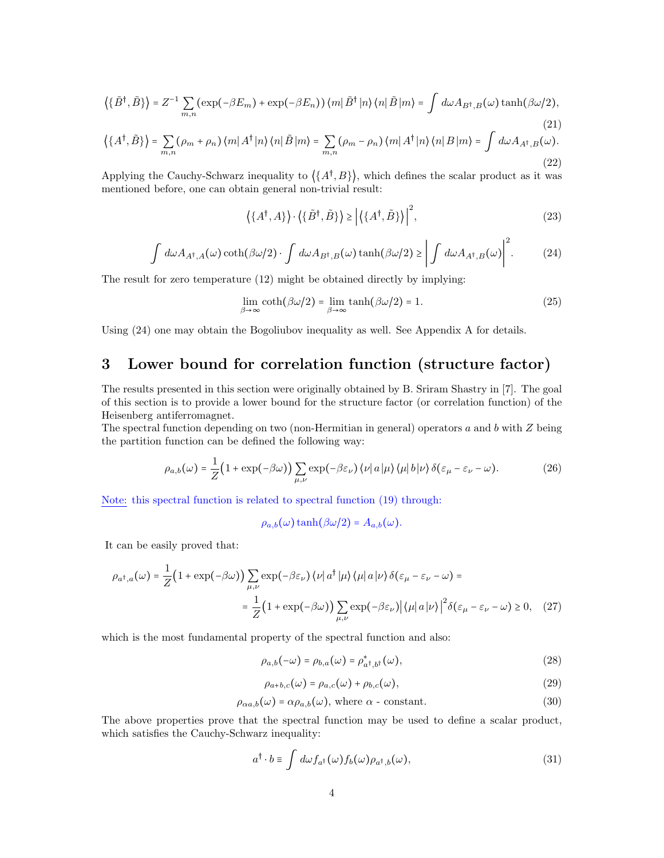$$
\left\langle \{\tilde{B}^{\dagger},\tilde{B}\}\right\rangle =Z^{-1}\sum_{m,n}(\exp(-\beta E_m)+\exp(-\beta E_n))\left\langle m\right|\tilde{B}^{\dagger}\left|n\right\rangle\left\langle n\right|\tilde{B}\left|m\right\rangle =\int d\omega A_{B^{\dagger},B}(\omega)\tanh(\beta\omega/2),\tag{21}
$$

$$
\left\langle \left\{ A^{\dagger}, \tilde{B} \right\} \right\rangle = \sum_{m,n} (\rho_m + \rho_n) \left\langle m | A^{\dagger} | n \right\rangle \left\langle n | \tilde{B} | m \right\rangle = \sum_{m,n} (\rho_m - \rho_n) \left\langle m | A^{\dagger} | n \right\rangle \left\langle n | B | m \right\rangle = \int d\omega A_{A^{\dagger},B}(\omega).
$$
\n(22)

Applying the Cauchy-Schwarz inequality to  $\langle \{A^{\dagger},B\}\rangle$ , which defines the scalar product as it was mentioned before, one can obtain general non-trivial result:

$$
\left\langle \{A^{\dagger}, A\} \right\rangle \cdot \left\langle \{\tilde{B}^{\dagger}, \tilde{B}\} \right\rangle \ge \left| \left\langle \{A^{\dagger}, \tilde{B}\} \right\rangle \right|^{2},\tag{23}
$$

$$
\int d\omega A_{A^{\dagger},A}(\omega) \coth(\beta \omega/2) \cdot \int d\omega A_{B^{\dagger},B}(\omega) \tanh(\beta \omega/2) \geq \left| \int d\omega A_{A^{\dagger},B}(\omega) \right|^2. \tag{24}
$$

The result for zero temperature (12) might be obtained directly by implying:

$$
\lim_{\beta \to \infty} \coth(\beta \omega/2) = \lim_{\beta \to \infty} \tanh(\beta \omega/2) = 1. \tag{25}
$$

Using (24) one may obtain the Bogoliubov inequality as well. See Appendix A for details.

## 3 Lower bound for correlation function (structure factor)

The results presented in this section were originally obtained by B. Sriram Shastry in [7]. The goal of this section is to provide a lower bound for the structure factor (or correlation function) of the Heisenberg antiferromagnet.

The spectral function depending on two (non-Hermitian in general) operators  $a$  and  $b$  with  $Z$  being the partition function can be defined the following way:

$$
\rho_{a,b}(\omega) = \frac{1}{Z} \big( 1 + \exp(-\beta \omega) \big) \sum_{\mu,\nu} \exp(-\beta \varepsilon_{\nu}) \langle \nu | a | \mu \rangle \langle \mu | b | \nu \rangle \delta(\varepsilon_{\mu} - \varepsilon_{\nu} - \omega). \tag{26}
$$

Note: this spectral function is related to spectral function (19) through:

$$
\rho_{a,b}(\omega)\tanh(\beta\omega/2) = A_{a,b}(\omega).
$$

It can be easily proved that:

$$
\rho_{a^{\dagger},a}(\omega) = \frac{1}{Z} \Big( 1 + \exp(-\beta \omega) \Big) \sum_{\mu,\nu} \exp(-\beta \varepsilon_{\nu}) \left\langle \nu \right| a^{\dagger} \left| \mu \right\rangle \left\langle \mu \right| a \left| \nu \right\rangle \delta(\varepsilon_{\mu} - \varepsilon_{\nu} - \omega) =
$$

$$
= \frac{1}{Z} \Big( 1 + \exp(-\beta \omega) \Big) \sum_{\mu,\nu} \exp(-\beta \varepsilon_{\nu}) \left| \left\langle \mu \right| a \left| \nu \right\rangle \right|^2 \delta(\varepsilon_{\mu} - \varepsilon_{\nu} - \omega) \ge 0, \quad (27)
$$

which is the most fundamental property of the spectral function and also:

$$
\rho_{a,b}(-\omega) = \rho_{b,a}(\omega) = \rho_{a^{\dagger},b^{\dagger}}^{*}(\omega),
$$
\n(28)

$$
\rho_{a+b,c}(\omega) = \rho_{a,c}(\omega) + \rho_{b,c}(\omega),\tag{29}
$$

$$
\rho_{\alpha a,b}(\omega) = \alpha \rho_{a,b}(\omega), \text{ where } \alpha \text{ - constant.}
$$
\n(30)

The above properties prove that the spectral function may be used to define a scalar product, which satisfies the Cauchy-Schwarz inequality:

$$
a^{\dagger} \cdot b \equiv \int d\omega f_{a^{\dagger}}(\omega) f_b(\omega) \rho_{a^{\dagger},b}(\omega), \tag{31}
$$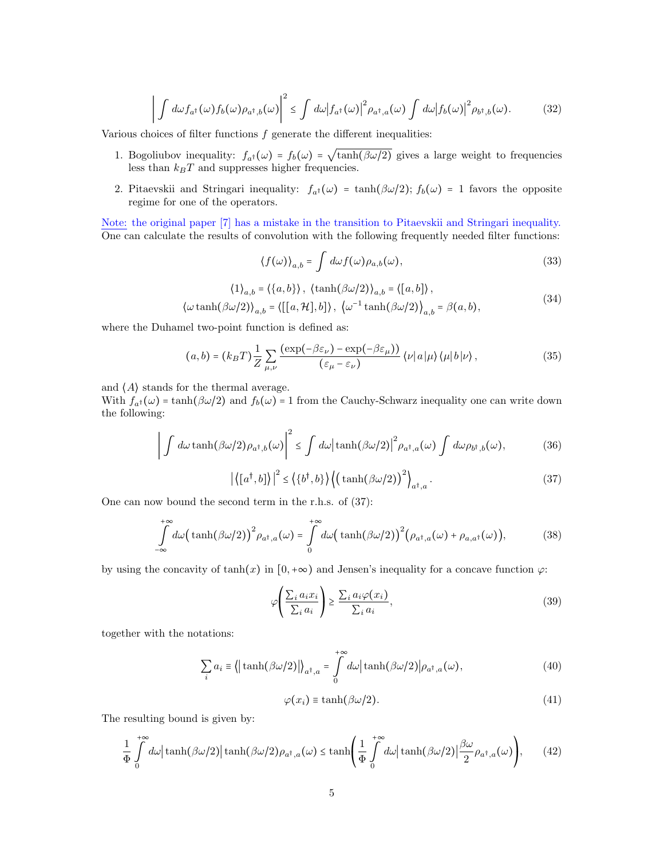$$
\left| \int d\omega f_{a^{\dagger}}(\omega) f_b(\omega) \rho_{a^{\dagger},b}(\omega) \right|^2 \leq \int d\omega \left| f_{a^{\dagger}}(\omega) \right|^2 \rho_{a^{\dagger},a}(\omega) \int d\omega \left| f_b(\omega) \right|^2 \rho_{b^{\dagger},b}(\omega). \tag{32}
$$

Various choices of filter functions  $f$  generate the different inequalities:

- 1. Bogoliubov inequality:  $f_{a^{\dagger}}(\omega) = f_b(\omega) =$ √  $tanh(\beta\omega/2)$  gives a large weight to frequencies less than  $k_BT$  and suppresses higher frequencies.
- 2. Pitaevskii and Stringari inequality:  $f_{a^{\dagger}}(\omega) = \tanh(\beta \omega/2)$ ;  $f_b(\omega) = 1$  favors the opposite regime for one of the operators.

Note: the original paper [7] has a mistake in the transition to Pitaevskii and Stringari inequality. One can calculate the results of convolution with the following frequently needed filter functions:

$$
\langle f(\omega) \rangle_{a,b} = \int d\omega f(\omega) \rho_{a,b}(\omega), \tag{33}
$$

$$
\langle 1 \rangle_{a,b} = \langle \{a,b\} \rangle, \quad \langle \tanh(\beta \omega/2) \rangle_{a,b} = \langle [a,b] \rangle,
$$
  

$$
\langle \omega \tanh(\beta \omega/2) \rangle_{a,b} = \langle [[a, \mathcal{H}], b] \rangle, \quad \langle \omega^{-1} \tanh(\beta \omega/2) \rangle_{a,b} = \beta(a,b),
$$
 (34)

where the Duhamel two-point function is defined as:

$$
(a,b) = (k_B T) \frac{1}{Z} \sum_{\mu,\nu} \frac{\left(\exp(-\beta \varepsilon_{\nu}) - \exp(-\beta \varepsilon_{\mu})\right)}{(\varepsilon_{\mu} - \varepsilon_{\nu})} \left\langle \nu | a | \mu \right\rangle \langle \mu | b | \nu \rangle, \tag{35}
$$

and  $\langle A \rangle$  stands for the thermal average.

With  $f_{a^{\dagger}}(\omega) = \tanh(\beta \omega/2)$  and  $f_b(\omega) = 1$  from the Cauchy-Schwarz inequality one can write down the following:

$$
\left| \int d\omega \tanh(\beta \omega/2) \rho_{a^{\dagger},b}(\omega) \right|^2 \leq \int d\omega \left| \tanh(\beta \omega/2) \right|^2 \rho_{a^{\dagger},a}(\omega) \int d\omega \rho_{b^{\dagger},b}(\omega), \tag{36}
$$

$$
\left| \left\langle \left[ a^{\dagger}, b \right] \right\rangle \right|^2 \le \left\langle \left\{ b^{\dagger}, b \right\} \right\rangle \left( \left( \tanh(\beta \omega/2) \right)^2 \right\rangle_{a^{\dagger}, a} . \tag{37}
$$

One can now bound the second term in the r.h.s. of (37):

$$
\int_{-\infty}^{+\infty} d\omega \big(\tanh(\beta \omega/2)\big)^2 \rho_{a^{\dagger},a}(\omega) = \int_{0}^{+\infty} d\omega \big(\tanh(\beta \omega/2)\big)^2 \big(\rho_{a^{\dagger},a}(\omega) + \rho_{a,a^{\dagger}}(\omega)\big),\tag{38}
$$

by using the concavity of  $tanh(x)$  in  $[0,+\infty)$  and Jensen's inequality for a concave function  $\varphi$ :

$$
\varphi\left(\frac{\sum_{i} a_i x_i}{\sum_{i} a_i}\right) \ge \frac{\sum_{i} a_i \varphi(x_i)}{\sum_{i} a_i},\tag{39}
$$

together with the notations:

$$
\sum_{i} a_{i} \equiv \langle |\tanh(\beta \omega/2)| \rangle_{a^{\dagger},a} = \int_{0}^{+\infty} d\omega |\tanh(\beta \omega/2)| \rho_{a^{\dagger},a}(\omega), \tag{40}
$$

$$
\varphi(x_i) \equiv \tanh(\beta \omega/2). \tag{41}
$$

The resulting bound is given by:

$$
\frac{1}{\Phi} \int_{0}^{+\infty} d\omega \left| \tanh(\beta \omega/2) \right| \tanh(\beta \omega/2) \rho_{a^{\dagger},a}(\omega) \leq \tanh\left(\frac{1}{\Phi} \int_{0}^{+\infty} d\omega \left| \tanh(\beta \omega/2) \right| \frac{\beta \omega}{2} \rho_{a^{\dagger},a}(\omega)\right),\tag{42}
$$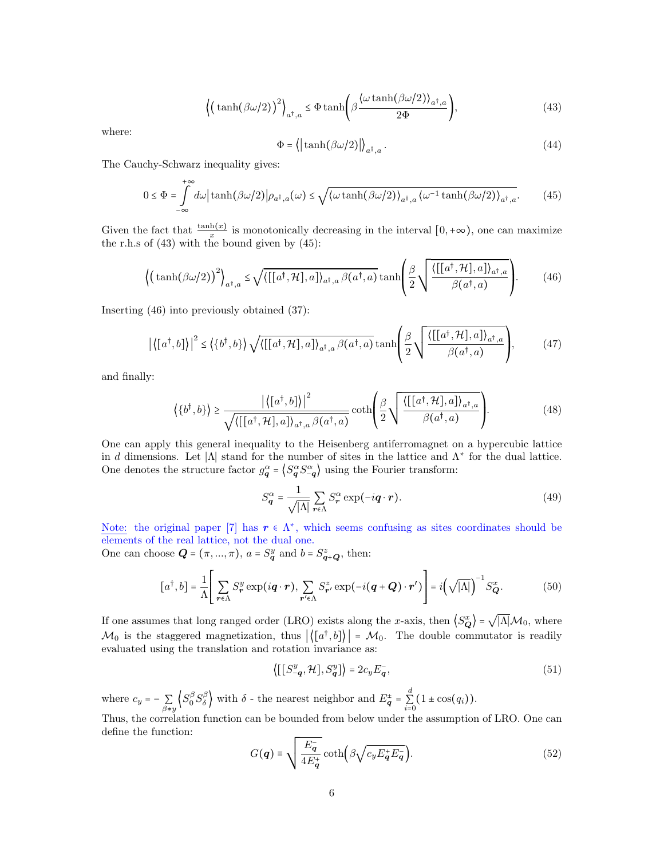$$
\left\langle \left(\tanh(\beta\omega/2)\right)^2 \right\rangle_{a^{\dagger},a} \leq \Phi \tanh\left(\beta \frac{\langle \omega \tanh(\beta\omega/2) \rangle_{a^{\dagger},a}}{2\Phi} \right),\tag{43}
$$

where:

$$
\Phi = \left\langle \left| \tanh(\beta \omega/2) \right| \right\rangle_{a^{\dagger}, a} . \tag{44}
$$

The Cauchy-Schwarz inequality gives:

$$
0 \le \Phi = \int_{-\infty}^{+\infty} d\omega \left| \tanh(\beta \omega/2) \right| \rho_{a^{\dagger},a}(\omega) \le \sqrt{\langle \omega \tanh(\beta \omega/2) \rangle_{a^{\dagger},a} \langle \omega^{-1} \tanh(\beta \omega/2) \rangle_{a^{\dagger},a}}. \tag{45}
$$

Given the fact that  $\frac{\tanh(x)}{x}$  is monotonically decreasing in the interval  $[0, +\infty)$ , one can maximize the r.h.s of (43) with the bound given by (45):

$$
\left\langle \left(\tanh(\beta\omega/2)\right)^2 \right\rangle_{a^{\dagger},a} \leq \sqrt{\left\langle \left[\left[a^{\dagger},\mathcal{H}\right],a\right]\right\rangle_{a^{\dagger},a} \beta(a^{\dagger},a)} \tanh\left(\frac{\beta}{2} \sqrt{\frac{\left\langle \left[\left[a^{\dagger},\mathcal{H}\right],a\right]\right\rangle_{a^{\dagger},a}}{\beta(a^{\dagger},a)}}\right). \tag{46}
$$

Inserting (46) into previously obtained (37):

$$
\left| \left\langle [a^{\dagger}, b] \right\rangle \right|^2 \le \left\langle \left\{ b^{\dagger}, b \right\} \right\rangle \sqrt{\left\langle [[a^{\dagger}, \mathcal{H}], a] \right\rangle_{a^{\dagger}, a} \beta(a^{\dagger}, a)} \tanh\left( \frac{\beta}{2} \sqrt{\frac{\left\langle [[a^{\dagger}, \mathcal{H}], a] \right\rangle_{a^{\dagger}, a}}{\beta(a^{\dagger}, a)}} \right), \tag{47}
$$

and finally:

$$
\langle \{b^{\dagger},b\} \rangle \ge \frac{|\langle [a^{\dagger},b] \rangle|^2}{\sqrt{\langle [[a^{\dagger},\mathcal{H}],a] \rangle_{a^{\dagger},a} \beta(a^{\dagger},a)}} \coth\left(\frac{\beta}{2} \sqrt{\frac{\langle [[a^{\dagger},\mathcal{H}],a] \rangle_{a^{\dagger},a}}{\beta(a^{\dagger},a)}}\right).
$$
(48)

One can apply this general inequality to the Heisenberg antiferromagnet on a hypercubic lattice in d dimensions. Let  $|\Lambda|$  stand for the number of sites in the lattice and  $\Lambda^*$  for the dual lattice. One denotes the structure factor  $g_q^{\alpha} = \langle S_q^{\alpha} S_{-q}^{\alpha} \rangle$  using the Fourier transform:

$$
S_{\mathbf{q}}^{\alpha} = \frac{1}{\sqrt{|\Lambda|}} \sum_{\mathbf{r} \in \Lambda} S_{\mathbf{r}}^{\alpha} \exp(-i\mathbf{q} \cdot \mathbf{r}).
$$
 (49)

Note: the original paper [7] has  $r \in \Lambda^*$ , which seems confusing as sites coordinates should be elements of the real lattice, not the dual one.

One can choose  $\mathbf{Q} = (\pi, ..., \pi)$ ,  $a = S_q^y$  and  $b = S_{\mathbf{q}+\mathbf{Q}}^z$ , then:

$$
[a^{\dagger}, b] = \frac{1}{\Lambda} \Bigg[ \sum_{\mathbf{r} \in \Lambda} S_{\mathbf{r}}^{y} \exp(i\mathbf{q} \cdot \mathbf{r}), \sum_{\mathbf{r'} \in \Lambda} S_{\mathbf{r'}}^{z} \exp(-i(\mathbf{q} + \mathbf{Q}) \cdot \mathbf{r'}) \Bigg] = i \Big( \sqrt{|\Lambda|} \Big)^{-1} S_{\mathbf{Q}}^{x}.
$$
 (50)

If one assumes that long ranged order (LRO) exists along the x-axis, then  $\langle S_{\mathbf{Q}}^x \rangle$  =  $|\Lambda| \mathcal{M}_0$ , where  $\mathcal{M}_0$  is the staggered magnetization, thus  $|\langle [a^{\dagger},b] \rangle| = \mathcal{M}_0$ . The double commutator is readily evaluated using the translation and rotation invariance as:

$$
\langle [[S^y_{-\mathbf{q}}, \mathcal{H}], S^y_{\mathbf{q}}] \rangle = 2c_y E_{\mathbf{q}}^-, \tag{51}
$$

where  $c_y = -\sum_{\beta \neq y} \left\langle S_0^{\beta} S_{\delta}^{\beta} \right\rangle$  with  $\delta$  - the nearest neighbor and  $E_{\mathbf{q}}^{\pm} = \sum_{i=0}^{d} (1 \pm \cos(q_i)).$ 

Thus, the correlation function can be bounded from below under the assumption of LRO. One can define the function:

$$
G(q) \equiv \sqrt{\frac{E_q^-}{4E_q^+}} \coth\left(\beta \sqrt{c_y E_q^+ E_q^-}\right).
$$
 (52)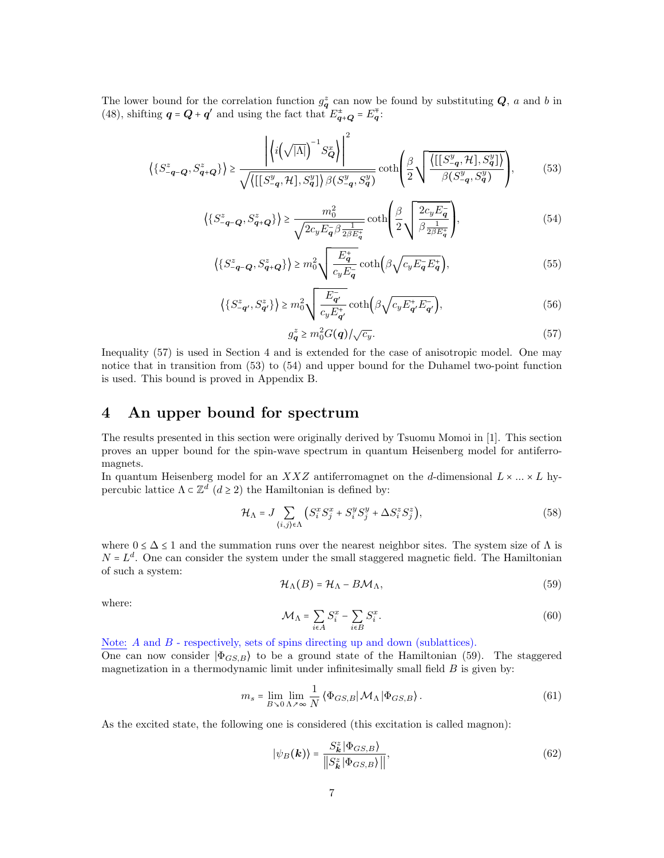The lower bound for the correlation function  $g_q^z$  can now be found by substituting  $Q$ , a and b in (48), shifting  $q = Q + q'$  and using the fact that  $E_{q+Q}^{\pm} = E_q^{\mp}$ .

$$
\left\{ \left\{ S_{-\mathbf{q}-\mathbf{Q}}^z, S_{\mathbf{q}+\mathbf{Q}}^z \right\} \right\} \ge \frac{\left| \left\langle i \left( \sqrt{|\Lambda|} \right)^{-1} S_{\mathbf{Q}}^x \right\rangle \right|^2}{\sqrt{\left\langle \left[ \left[ S_{-\mathbf{q}}^y, \mathcal{H} \right], S_{\mathbf{q}}^y \right] \right\rangle \beta \left( S_{-\mathbf{q}}^y, S_{\mathbf{q}}^y \right)}} \coth \left( \frac{\beta}{2} \sqrt{\frac{\left\langle \left[ \left[ S_{-\mathbf{q}}^y, \mathcal{H}, S_{\mathbf{q}}^y \right] \right\rangle \right\rangle}{\beta \left( S_{-\mathbf{q}}^y, S_{\mathbf{q}}^y \right)}} \right),\tag{53}
$$

$$
\left\langle \{S_{-\mathbf{q}-\mathbf{Q}}^{z}, S_{\mathbf{q}+\mathbf{Q}}^{z}\} \right\rangle \geq \frac{m_0^2}{\sqrt{2c_y E_{\mathbf{q}}^{-} \beta \frac{1}{2\beta E_{\mathbf{q}}^{+}}}} \coth\left(\frac{\beta}{2} \sqrt{\frac{2c_y E_{\mathbf{q}}^{-}}{\beta \frac{1}{2\beta E_{\mathbf{q}}^{+}}}}\right),\tag{54}
$$

$$
\left\langle \left\{ S_{-\mathbf{q}-\mathbf{Q}}^{z}, S_{\mathbf{q}+\mathbf{Q}}^{z} \right\} \right\rangle \geq m_{0}^{2} \sqrt{\frac{E_{\mathbf{q}}^{+}}{c_{y} E_{\mathbf{q}}^{-}}} \coth \left( \beta \sqrt{c_{y} E_{\mathbf{q}}^{-} E_{\mathbf{q}}^{+}} \right), \tag{55}
$$

$$
\left\langle \left\{ S_{-\mathbf{q}'}^z, S_{\mathbf{q}'}^z \right\} \right\rangle \ge m_0^2 \sqrt{\frac{E_{\mathbf{q}'}^-}{c_y E_{\mathbf{q}'}^+}} \coth\left(\beta \sqrt{c_y E_{\mathbf{q}'}^+ E_{\mathbf{q}'}}\right),\tag{56}
$$

$$
g_q^z \ge m_0^2 G(q) / \sqrt{c_y}.\tag{57}
$$

Inequality (57) is used in Section 4 and is extended for the case of anisotropic model. One may notice that in transition from (53) to (54) and upper bound for the Duhamel two-point function is used. This bound is proved in Appendix B.

## 4 An upper bound for spectrum

The results presented in this section were originally derived by Tsuomu Momoi in [1]. This section proves an upper bound for the spin-wave spectrum in quantum Heisenberg model for antiferromagnets.

In quantum Heisenberg model for an  $XXZ$  antiferromagnet on the d-dimensional  $L \times ... \times L$  hypercubic lattice  $\Lambda \subset \mathbb{Z}^d$   $(d \geq 2)$  the Hamiltonian is defined by:

$$
\mathcal{H}_{\Lambda} = J \sum_{\langle i,j \rangle \in \Lambda} \left( S_i^x S_j^x + S_i^y S_j^y + \Delta S_i^z S_j^z \right),\tag{58}
$$

where  $0 \leq \Delta \leq 1$  and the summation runs over the nearest neighbor sites. The system size of  $\Lambda$  is  $N = L<sup>d</sup>$ . One can consider the system under the small staggered magnetic field. The Hamiltonian of such a system:

$$
\mathcal{H}_{\Lambda}(B) = \mathcal{H}_{\Lambda} - B\mathcal{M}_{\Lambda},\tag{59}
$$

where:

$$
\mathcal{M}_{\Lambda} = \sum_{i \in A} S_i^x - \sum_{i \in B} S_i^x. \tag{60}
$$

Note:  $A$  and  $B$  - respectively, sets of spins directing up and down (sublattices).

One can now consider  $|\Phi_{GS,B}\rangle$  to be a ground state of the Hamiltonian (59). The staggered magnetization in a thermodynamic limit under infinitesimally small field  $B$  is given by:

$$
m_s = \lim_{B \to 0} \lim_{\Lambda \to \infty} \frac{1}{N} \left\langle \Phi_{GS,B} | \mathcal{M}_{\Lambda} | \Phi_{GS,B} \right\rangle.
$$
 (61)

As the excited state, the following one is considered (this excitation is called magnon):

$$
|\psi_B(\mathbf{k})\rangle = \frac{S_{\mathbf{k}}^z |\Phi_{GS,B}\rangle}{\|S_{\mathbf{k}}^z |\Phi_{GS,B}\rangle\|},\tag{62}
$$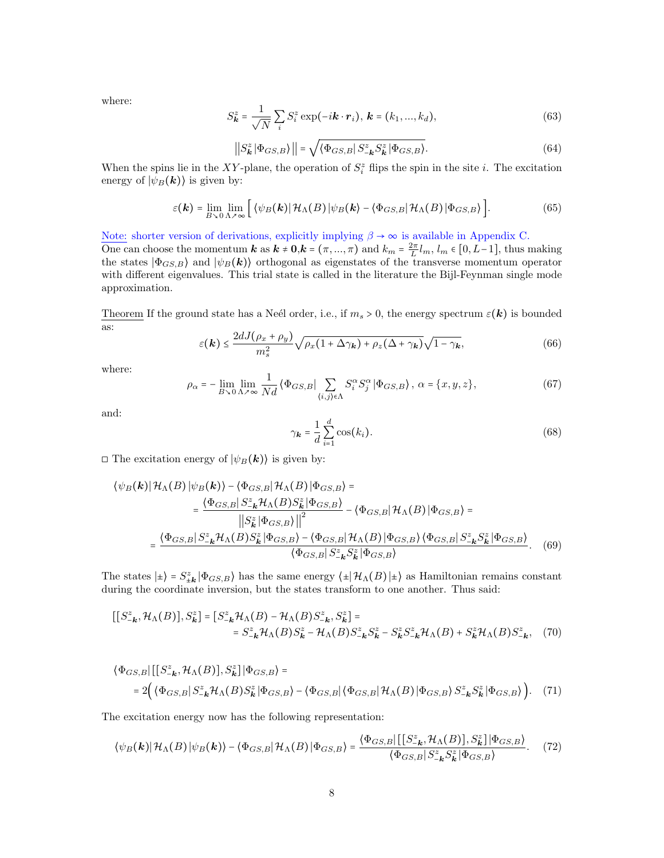where:

$$
S_{\mathbf{k}}^{z} = \frac{1}{\sqrt{N}} \sum_{i} S_{i}^{z} \exp(-i\mathbf{k} \cdot \mathbf{r}_{i}), \mathbf{k} = (k_{1}, ..., k_{d}),
$$
\n(63)

$$
\left| \left| S_{\mathbf{k}}^{z} \left| \Phi_{GS,B} \right| \right| \right| = \sqrt{\left\langle \Phi_{GS,B} \right| S_{-\mathbf{k}}^{z} S_{\mathbf{k}}^{z} \left| \Phi_{GS,B} \right\rangle}.
$$
 (64)

When the spins lie in the XY-plane, the operation of  $S_i^z$  flips the spin in the site i. The excitation energy of  $|\psi_B(\mathbf{k})\rangle$  is given by:

$$
\varepsilon(\mathbf{k}) = \lim_{B \to 0} \lim_{\Lambda \nearrow \infty} \left[ \left\langle \psi_B(\mathbf{k}) | \mathcal{H}_{\Lambda}(B) | \psi_B(\mathbf{k}) - \left\langle \Phi_{GS,B} | \mathcal{H}_{\Lambda}(B) | \Phi_{GS,B} \right\rangle \right] \right]. \tag{65}
$$

Note: shorter version of derivations, explicitly implying  $\beta \to \infty$  is available in Appendix C.

One can choose the momentum  $k$  as  $k \neq 0, k = (\pi, ..., \pi)$  and  $k_m = \frac{2\pi}{L} l_m, l_m \in [0, L-1]$ , thus making the states  $|\Phi_{GS,B}\rangle$  and  $|\psi_B(\mathbf{k})\rangle$  orthogonal as eigenstates of the transverse momentum operator with different eigenvalues. This trial state is called in the literature the Bijl-Feynman single mode approximation.

Theorem If the ground state has a Neél order, i.e., if  $m_s > 0$ , the energy spectrum  $\varepsilon(\mathbf{k})$  is bounded as:

$$
\varepsilon(\mathbf{k}) \le \frac{2dJ(\rho_x + \rho_y)}{m_s^2} \sqrt{\rho_x (1 + \Delta \gamma_k) + \rho_z (\Delta + \gamma_k)} \sqrt{1 - \gamma_k},
$$
\n(66)

where:

$$
\rho_{\alpha} = -\lim_{B \to 0} \lim_{\Lambda \nearrow \infty} \frac{1}{N d} \left\langle \Phi_{GS,B} \right| \sum_{\langle i,j \rangle \in \Lambda} S_i^{\alpha} S_j^{\alpha} \left| \Phi_{GS,B} \right\rangle, \ \alpha = \{x, y, z\},\tag{67}
$$

and:

$$
\gamma_{\mathbf{k}} = \frac{1}{d} \sum_{i=1}^{d} \cos(k_i). \tag{68}
$$

 $\Box$  The excitation energy of  $|\psi_B(\mathbf{k})\rangle$  is given by:

$$
\langle \psi_B(\mathbf{k}) | \mathcal{H}_{\Lambda}(B) | \psi_B(\mathbf{k}) \rangle - \langle \Phi_{GS,B} | \mathcal{H}_{\Lambda}(B) | \Phi_{GS,B} \rangle =
$$
\n
$$
= \frac{\langle \Phi_{GS,B} | S_{-\mathbf{k}}^z \mathcal{H}_{\Lambda}(B) S_{\mathbf{k}}^z | \Phi_{GS,B} \rangle}{\left\| S_{\mathbf{k}}^z | \Phi_{GS,B} \rangle \right\|^2} - \langle \Phi_{GS,B} | \mathcal{H}_{\Lambda}(B) | \Phi_{GS,B} \rangle =
$$
\n
$$
= \frac{\langle \Phi_{GS,B} | S_{-\mathbf{k}}^z \mathcal{H}_{\Lambda}(B) S_{\mathbf{k}}^z | \Phi_{GS,B} \rangle - \langle \Phi_{GS,B} | \mathcal{H}_{\Lambda}(B) | \Phi_{GS,B} \rangle \langle \Phi_{GS,B} | S_{-\mathbf{k}}^z S_{\mathbf{k}}^z | \Phi_{GS,B} \rangle}{\langle \Phi_{GS,B} | S_{-\mathbf{k}}^z S_{\mathbf{k}}^z | \Phi_{GS,B} \rangle}.
$$
\n(69)

The states  $|\pm\rangle = S_{\pm k}^z |\Phi_{GS,B}\rangle$  has the same energy  $\langle \pm | \mathcal{H}_\Lambda(B) | \pm \rangle$  as Hamiltonian remains constant during the coordinate inversion, but the states transform to one another. Thus said:

$$
\begin{aligned} [[S_{-\mathbf{k}}^z, \mathcal{H}_{\Lambda}(B)], S_{\mathbf{k}}^z] &= \left[S_{-\mathbf{k}}^z \mathcal{H}_{\Lambda}(B) - \mathcal{H}_{\Lambda}(B)S_{-\mathbf{k}}^z, S_{\mathbf{k}}^z\right] = \\ &= S_{-\mathbf{k}}^z \mathcal{H}_{\Lambda}(B)S_{\mathbf{k}}^z - \mathcal{H}_{\Lambda}(B)S_{-\mathbf{k}}^z S_{\mathbf{k}}^z - S_{\mathbf{k}}^z S_{-\mathbf{k}}^z \mathcal{H}_{\Lambda}(B) + S_{\mathbf{k}}^z \mathcal{H}_{\Lambda}(B)S_{-\mathbf{k}}^z, \end{aligned} \tag{70}
$$

$$
\langle \Phi_{GS,B} | [[S_{-\mathbf{k}}^z, \mathcal{H}_\Lambda(B)], S_{\mathbf{k}}^z] | \Phi_{GS,B} \rangle =
$$
  
= 2 \Big( \langle \Phi\_{GS,B} | S\_{-\mathbf{k}}^z \mathcal{H}\_\Lambda(B) S\_{\mathbf{k}}^z | \Phi\_{GS,B} \rangle - \langle \Phi\_{GS,B} | \langle \Phi\_{GS,B} | \mathcal{H}\_\Lambda(B) | \Phi\_{GS,B} \rangle S\_{-\mathbf{k}}^z S\_{\mathbf{k}}^z | \Phi\_{GS,B} \rangle \Big). (71)

The excitation energy now has the following representation:

$$
\langle \psi_B(\mathbf{k}) | \mathcal{H}_{\Lambda}(B) | \psi_B(\mathbf{k}) \rangle - \langle \Phi_{GS,B} | \mathcal{H}_{\Lambda}(B) | \Phi_{GS,B} \rangle = \frac{\langle \Phi_{GS,B} | [[S_{-\mathbf{k}}^z, \mathcal{H}_{\Lambda}(B)], S_{\mathbf{k}}^z] | \Phi_{GS,B} \rangle}{\langle \Phi_{GS,B} | S_{-\mathbf{k}}^z S_{\mathbf{k}}^z | \Phi_{GS,B} \rangle}.
$$
 (72)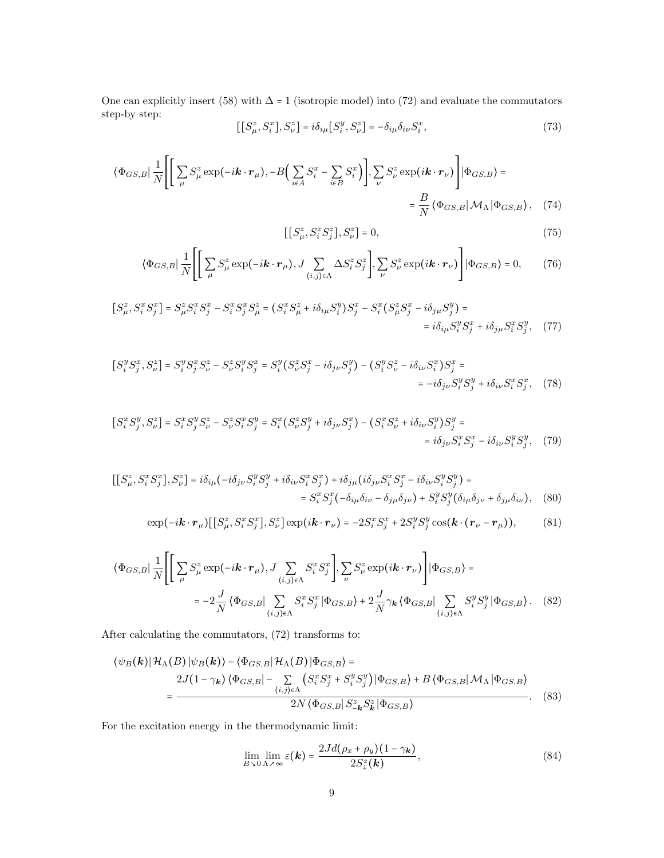One can explicitly insert (58) with  $\Delta = 1$  (isotropic model) into (72) and evaluate the commutators step-by step:

$$
\left[\left[S_{\mu}^{z}, S_{i}^{x}\right], S_{\nu}^{z}\right] = i\delta_{i\mu}\left[S_{i}^{y}, S_{\nu}^{z}\right] = -\delta_{i\mu}\delta_{i\nu}S_{i}^{x},\tag{73}
$$

$$
\langle \Phi_{GS,B} | \frac{1}{N} \Bigg[ \Bigg[ \sum_{\mu} S_{\mu}^{z} \exp(-i\mathbf{k} \cdot \mathbf{r}_{\mu}), -B \Big( \sum_{i \in A} S_{i}^{x} - \sum_{i \in B} S_{i}^{x} \Big) \Bigg], \sum_{\nu} S_{\nu}^{z} \exp(i\mathbf{k} \cdot \mathbf{r}_{\nu}) \Bigg] | \Phi_{GS,B} \rangle =
$$
  

$$
= \frac{B}{N} \langle \Phi_{GS,B} | \mathcal{M}_{\Lambda} | \Phi_{GS,B} \rangle, \quad (74)
$$

$$
[[S^z_{\mu}, S^z_i S^z_j], S^z_{\nu}] = 0,
$$
\n(75)

$$
\langle \Phi_{GS,B} | \frac{1}{N} \Bigg[ \Bigg[ \sum_{\mu} S_{\mu}^{z} \exp(-i\mathbf{k} \cdot \mathbf{r}_{\mu}), J \sum_{\{i,j\} \in \Lambda} \Delta S_{i}^{z} S_{j}^{z} \Bigg], \sum_{\nu} S_{\nu}^{z} \exp(i\mathbf{k} \cdot \mathbf{r}_{\nu}) \Bigg] | \Phi_{GS,B} \rangle = 0, \qquad (76)
$$

$$
[S_{\mu}^{z}, S_{i}^{x} S_{j}^{x}] = S_{\mu}^{z} S_{i}^{x} S_{j}^{x} - S_{i}^{x} S_{j}^{x} S_{\mu}^{z} = (S_{i}^{x} S_{\mu}^{z} + i \delta_{i\mu} S_{i}^{y}) S_{j}^{x} - S_{i}^{x} (S_{\mu}^{z} S_{j}^{x} - i \delta_{j\mu} S_{j}^{y}) =
$$
  
=  $i \delta_{i\mu} S_{i}^{y} S_{j}^{x} + i \delta_{j\mu} S_{i}^{x} S_{j}^{y},$  (77)

$$
[S_i^y S_j^x, S_\nu^z] = S_i^y S_j^x S_\nu^z - S_\nu^z S_i^y S_j^x = S_i^y (S_\nu^z S_j^x - i \delta_{j\nu} S_j^y) - (S_i^y S_\nu^z - i \delta_{i\nu} S_i^x) S_j^x =
$$
  
=  $-i \delta_{j\nu} S_i^y S_j^y + i \delta_{i\nu} S_i^x S_j^x$ , (78)

$$
[S_i^x S_j^y, S_\nu^z] = S_i^x S_j^y S_\nu^z - S_\nu^z S_i^x S_j^y = S_i^x (S_\nu^z S_j^y + i \delta_{j\nu} S_j^x) - (S_i^x S_\nu^z + i \delta_{i\nu} S_i^y) S_j^y =
$$
  
=  $i \delta_{j\nu} S_i^x S_j^x - i \delta_{i\nu} S_i^y S_j^y$ , (79)

$$
\begin{aligned}\n\left[\left[S_{\mu}^{z}, S_{i}^{x} S_{j}^{x}\right], S_{\nu}^{z}\right] &= i\delta_{i\mu} \left(-i\delta_{j\nu} S_{i}^{y} S_{j}^{y} + i\delta_{i\nu} S_{i}^{x} S_{j}^{x}\right) + i\delta_{j\mu} \left(i\delta_{j\nu} S_{i}^{x} S_{j}^{x} - i\delta_{i\nu} S_{i}^{y} S_{j}^{y}\right) = \\
&= S_{i}^{x} S_{j}^{x} \left(-\delta_{i\mu} \delta_{i\nu} - \delta_{j\mu} \delta_{j\nu}\right) + S_{i}^{y} S_{j}^{y} \left(\delta_{i\mu} \delta_{j\nu} + \delta_{j\mu} \delta_{i\nu}\right),\n\end{aligned} \tag{80}
$$

$$
\exp(-i\mathbf{k}\cdot\mathbf{r}_{\mu})\big[\big[S_{\mu}^{z},S_{i}^{x}S_{j}^{x}\big],S_{\nu}^{z}\big]\exp(i\mathbf{k}\cdot\mathbf{r}_{\nu})=-2S_{i}^{x}S_{j}^{x}+2S_{i}^{y}S_{j}^{y}\cos(\mathbf{k}\cdot(\mathbf{r}_{\nu}-\mathbf{r}_{\mu})),\tag{81}
$$

$$
\langle \Phi_{GS,B} | \frac{1}{N} \Bigg[ \Bigg[ \sum_{\mu} S_{\mu}^{z} \exp(-i\mathbf{k} \cdot \mathbf{r}_{\mu}), J \sum_{\langle i,j \rangle \in \Lambda} S_{i}^{x} S_{j}^{x} \Bigg], \sum_{\nu} S_{\nu}^{z} \exp(i\mathbf{k} \cdot \mathbf{r}_{\nu}) \Bigg] | \Phi_{GS,B} \rangle =
$$
  

$$
= -2 \frac{J}{N} \langle \Phi_{GS,B} | \sum_{\langle i,j \rangle \in \Lambda} S_{i}^{x} S_{j}^{x} | \Phi_{GS,B} \rangle + 2 \frac{J}{N} \gamma_{k} \langle \Phi_{GS,B} | \sum_{\langle i,j \rangle \in \Lambda} S_{i}^{y} S_{j}^{y} | \Phi_{GS,B} \rangle. \tag{82}
$$

After calculating the commutators, (72) transforms to:

$$
\langle \psi_B(\mathbf{k}) | \mathcal{H}_{\Lambda}(B) | \psi_B(\mathbf{k}) \rangle - \langle \Phi_{GS,B} | \mathcal{H}_{\Lambda}(B) | \Phi_{GS,B} \rangle =
$$
  
\n
$$
= \frac{2J(1 - \gamma_{\mathbf{k}}) \langle \Phi_{GS,B} | - \sum_{(i,j) \in \Lambda} \left( S_i^x S_j^x + S_i^y S_j^y \right) | \Phi_{GS,B} \rangle + B \langle \Phi_{GS,B} | \mathcal{M}_{\Lambda} | \Phi_{GS,B} \rangle}{2N \langle \Phi_{GS,B} | S_{-\mathbf{k}}^z S_{\mathbf{k}}^z | \Phi_{GS,B} \rangle}.
$$
 (83)

For the excitation energy in the thermodynamic limit:

$$
\lim_{B \to 0} \lim_{\Lambda \nearrow \infty} \varepsilon(\mathbf{k}) = \frac{2Jd(\rho_x + \rho_y)(1 - \gamma_\mathbf{k})}{2S_{\perp}^z(\mathbf{k})},\tag{84}
$$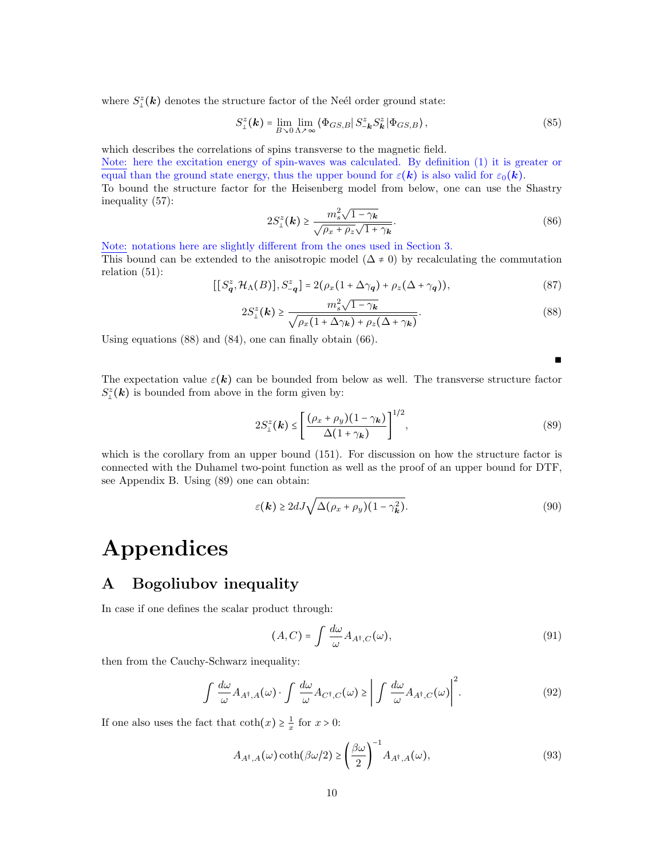where  $S^z_{\perp}(\mathbf{k})$  denotes the structure factor of the Neél order ground state:

$$
S_{\perp}^{z}(\mathbf{k}) = \lim_{B \searrow 0} \lim_{\Lambda \nearrow \infty} \left\langle \Phi_{GS,B} \right| S_{-\mathbf{k}}^{z} S_{\mathbf{k}}^{z} \left| \Phi_{GS,B} \right\rangle, \tag{85}
$$

which describes the correlations of spins transverse to the magnetic field.

Note: here the excitation energy of spin-waves was calculated. By definition (1) it is greater or equal than the ground state energy, thus the upper bound for  $\varepsilon(\mathbf{k})$  is also valid for  $\varepsilon_0(\mathbf{k})$ .

To bound the structure factor for the Heisenberg model from below, one can use the Shastry inequality (57): √

$$
2S_{\perp}^{z}(\mathbf{k}) \ge \frac{m_{s}^{2}\sqrt{1-\gamma_{\mathbf{k}}}}{\sqrt{\rho_{x}+\rho_{z}}\sqrt{1+\gamma_{\mathbf{k}}}}.\tag{86}
$$

Note: notations here are slightly different from the ones used in Section 3.

This bound can be extended to the anisotropic model ( $\Delta \neq 0$ ) by recalculating the commutation relation (51):

$$
[[S_q^z, \mathcal{H}_{\Lambda}(B)], S_{-q}^z] = 2(\rho_x(1 + \Delta \gamma_q) + \rho_z(\Delta + \gamma_q)),
$$
\n(87)

$$
2S_{\perp}^{z}(\mathbf{k}) \ge \frac{m_s^2 \sqrt{1-\gamma_{\mathbf{k}}}}{\sqrt{\rho_x (1 + \Delta \gamma_{\mathbf{k}}) + \rho_z (\Delta + \gamma_{\mathbf{k}})}}.
$$
\n(88)

Using equations (88) and (84), one can finally obtain (66).

The expectation value  $\varepsilon(\mathbf{k})$  can be bounded from below as well. The transverse structure factor  $S_{\perp}^z(\mathbf{k})$  is bounded from above in the form given by:

$$
2S_{\perp}^{z}(\boldsymbol{k}) \le \left[\frac{(\rho_{x} + \rho_{y})(1 - \gamma_{\boldsymbol{k}})}{\Delta(1 + \gamma_{\boldsymbol{k}})}\right]^{1/2},\tag{89}
$$

∎

which is the corollary from an upper bound (151). For discussion on how the structure factor is connected with the Duhamel two-point function as well as the proof of an upper bound for DTF, see Appendix B. Using (89) one can obtain:

$$
\varepsilon(\mathbf{k}) \ge 2dJ\sqrt{\Delta(\rho_x + \rho_y)(1 - \gamma_{\mathbf{k}}^2)}.
$$
\n(90)

# Appendices

## A Bogoliubov inequality

In case if one defines the scalar product through:

$$
(A,C) = \int \frac{d\omega}{\omega} A_{A^{\dagger},C}(\omega), \tag{91}
$$

then from the Cauchy-Schwarz inequality:

$$
\int \frac{d\omega}{\omega} A_{A^{\dagger}, A}(\omega) \cdot \int \frac{d\omega}{\omega} A_{C^{\dagger}, C}(\omega) \ge \left| \int \frac{d\omega}{\omega} A_{A^{\dagger}, C}(\omega) \right|^2. \tag{92}
$$

If one also uses the fact that  $\coth(x) \geq \frac{1}{x}$  for  $x > 0$ :

$$
A_{A^{\dagger},A}(\omega)\coth(\beta\omega/2) \ge \left(\frac{\beta\omega}{2}\right)^{-1} A_{A^{\dagger},A}(\omega),\tag{93}
$$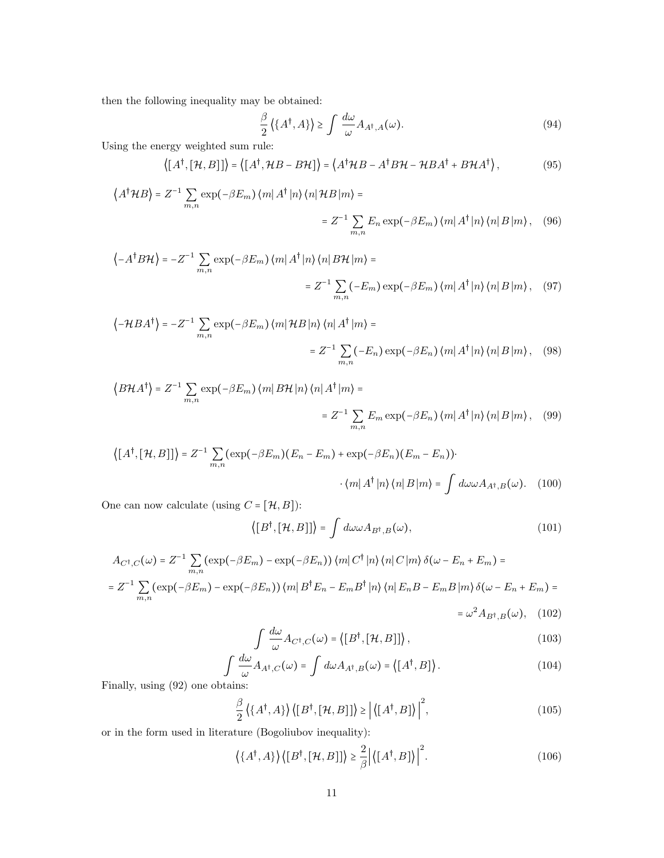then the following inequality may be obtained:

$$
\frac{\beta}{2} \left\langle \{A^{\dagger}, A\} \right\rangle \ge \int \frac{d\omega}{\omega} A_{A^{\dagger}, A}(\omega). \tag{94}
$$

Using the energy weighted sum rule:

$$
\langle [A^{\dagger}, [\mathcal{H}, B]] \rangle = \langle [A^{\dagger}, \mathcal{H}B - B\mathcal{H}] \rangle = \langle A^{\dagger} \mathcal{H}B - A^{\dagger} B\mathcal{H} - \mathcal{H}BA^{\dagger} + B\mathcal{H}A^{\dagger} \rangle, \tag{95}
$$

$$
\langle A^{\dagger}HB \rangle = Z^{-1} \sum_{m,n} \exp(-\beta E_m) \langle m | A^{\dagger} | n \rangle \langle n | HB | m \rangle =
$$
  
=  $Z^{-1} \sum_{m,n} E_n \exp(-\beta E_m) \langle m | A^{\dagger} | n \rangle \langle n | B | m \rangle$ , (96)

$$
\langle -A^{\dagger} B \mathcal{H} \rangle = -Z^{-1} \sum_{m,n} \exp(-\beta E_m) \langle m | A^{\dagger} | n \rangle \langle n | B \mathcal{H} | m \rangle =
$$
  
=  $Z^{-1} \sum_{m,n} (-E_m) \exp(-\beta E_m) \langle m | A^{\dagger} | n \rangle \langle n | B | m \rangle$ , (97)

$$
\langle -\mathcal{H}BA^{\dagger} \rangle = -Z^{-1} \sum_{m,n} \exp(-\beta E_m) \langle m | \mathcal{H}B | n \rangle \langle n | A^{\dagger} | m \rangle =
$$
  
=  $Z^{-1} \sum_{m,n} (-E_n) \exp(-\beta E_n) \langle m | A^{\dagger} | n \rangle \langle n | B | m \rangle$ , (98)

$$
\langle B\mathcal{H}A^{\dagger}\rangle = Z^{-1}\sum_{m,n} \exp(-\beta E_m) \langle m| B\mathcal{H}|n\rangle \langle n| A^{\dagger} |m\rangle =
$$
  

$$
= Z^{-1}\sum_{m,n} E_m \exp(-\beta E_n) \langle m| A^{\dagger} |n\rangle \langle n| B |m\rangle, \quad (99)
$$

$$
\langle [A^{\dagger}, [\mathcal{H}, B]] \rangle = Z^{-1} \sum_{m,n} (\exp(-\beta E_m)(E_n - E_m) + \exp(-\beta E_n)(E_m - E_n)) \cdot \langle m | A^{\dagger} | n \rangle \langle n | B | m \rangle = \int d\omega \omega A_{A^{\dagger}, B}(\omega). \tag{100}
$$

One can now calculate (using  $C = [\mathcal{H}, B] )$  :

$$
\langle [B^{\dagger}, [\mathcal{H}, B]] \rangle = \int d\omega \omega A_{B^{\dagger}, B}(\omega), \qquad (101)
$$

$$
A_{C^{\dagger},C}(\omega) = Z^{-1} \sum_{m,n} (\exp(-\beta E_m) - \exp(-\beta E_n)) \langle m | C^{\dagger} | n \rangle \langle n | C | m \rangle \delta(\omega - E_n + E_m) =
$$
  
= 
$$
Z^{-1} \sum_{m,n} (\exp(-\beta E_m) - \exp(-\beta E_n)) \langle m | B^{\dagger} E_n - E_m B^{\dagger} | n \rangle \langle n | E_n B - E_m B | m \rangle \delta(\omega - E_n + E_m) =
$$
  
= 
$$
\omega^2 A_{B^{\dagger},B}(\omega), \quad (102)
$$

$$
\int \frac{d\omega}{\omega} A_{C^{\dagger},C}(\omega) = \langle [B^{\dagger}, [\mathcal{H}, B]] \rangle, \qquad (103)
$$

$$
\int \frac{d\omega}{\omega} A_{A^{\dagger},C}(\omega) = \int d\omega A_{A^{\dagger},B}(\omega) = \langle [A^{\dagger}, B] \rangle.
$$
 (104)

Finally, using (92) one obtains:

$$
\frac{\beta}{2}\left\langle \{A^{\dagger},A\} \right\rangle \left\langle [B^{\dagger},[\mathcal{H},B]] \right\rangle \ge \left| \left\langle [A^{\dagger},B] \right\rangle \right|^2, \tag{105}
$$

or in the form used in literature (Bogoliubov inequality):

$$
\langle \{A^{\dagger}, A\} \rangle \langle [B^{\dagger}, [\mathcal{H}, B]] \rangle \ge \frac{2}{\beta} \left| \langle [A^{\dagger}, B] \rangle \right|^2.
$$
 (106)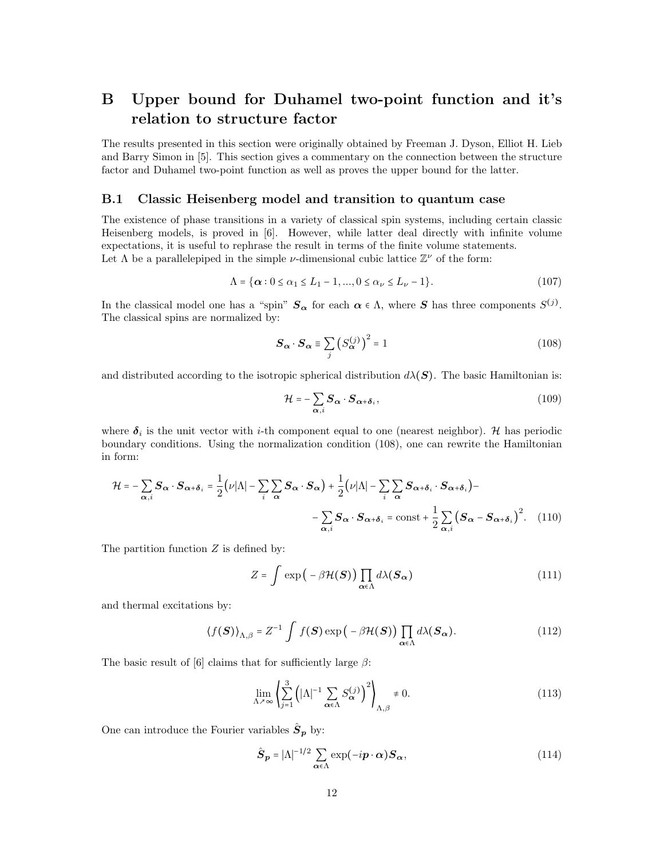## B Upper bound for Duhamel two-point function and it's relation to structure factor

The results presented in this section were originally obtained by Freeman J. Dyson, Elliot H. Lieb and Barry Simon in [5]. This section gives a commentary on the connection between the structure factor and Duhamel two-point function as well as proves the upper bound for the latter.

### B.1 Classic Heisenberg model and transition to quantum case

The existence of phase transitions in a variety of classical spin systems, including certain classic Heisenberg models, is proved in [6]. However, while latter deal directly with infinite volume expectations, it is useful to rephrase the result in terms of the finite volume statements. Let  $\Lambda$  be a parallelepiped in the simple v-dimensional cubic lattice  $\mathbb{Z}^{\nu}$  of the form:

$$
\Lambda = \{ \alpha : 0 \le \alpha_1 \le L_1 - 1, ..., 0 \le \alpha_\nu \le L_\nu - 1 \}. \tag{107}
$$

In the classical model one has a "spin"  $S_{\alpha}$  for each  $\alpha \in \Lambda$ , where S has three components  $S^{(j)}$ . The classical spins are normalized by:

$$
\mathbf{S}_{\alpha} \cdot \mathbf{S}_{\alpha} \equiv \sum_{j} \left( S_{\alpha}^{(j)} \right)^2 = 1 \tag{108}
$$

and distributed according to the isotropic spherical distribution  $d\lambda(\mathbf{S})$ . The basic Hamiltonian is:

$$
\mathcal{H} = -\sum_{\alpha,i} \mathbf{S}_{\alpha} \cdot \mathbf{S}_{\alpha+\delta_i},\tag{109}
$$

where  $\delta_i$  is the unit vector with *i*-th component equal to one (nearest neighbor). H has periodic boundary conditions. Using the normalization condition (108), one can rewrite the Hamiltonian in form:

$$
\mathcal{H} = -\sum_{\alpha,i} \mathbf{S}_{\alpha} \cdot \mathbf{S}_{\alpha+\delta_i} = \frac{1}{2} \Big( \nu |\Lambda| - \sum_{i} \sum_{\alpha} \mathbf{S}_{\alpha} \cdot \mathbf{S}_{\alpha} \Big) + \frac{1}{2} \Big( \nu |\Lambda| - \sum_{i} \sum_{\alpha} \mathbf{S}_{\alpha+\delta_i} \cdot \mathbf{S}_{\alpha+\delta_i} \Big) - \sum_{\alpha,i} \mathbf{S}_{\alpha} \cdot \mathbf{S}_{\alpha+\delta_i} = \text{const} + \frac{1}{2} \sum_{\alpha,i} \Big( \mathbf{S}_{\alpha} - \mathbf{S}_{\alpha+\delta_i} \Big)^2. \tag{110}
$$

The partition function  $Z$  is defined by:

$$
Z = \int \exp\left(-\beta \mathcal{H}(\mathbf{S})\right) \prod_{\alpha \in \Lambda} d\lambda(\mathbf{S}_{\alpha}) \tag{111}
$$

and thermal excitations by:

$$
\langle f(\boldsymbol{S}) \rangle_{\Lambda,\beta} = Z^{-1} \int f(\boldsymbol{S}) \exp\left(-\beta \mathcal{H}(\boldsymbol{S})\right) \prod_{\alpha \in \Lambda} d\lambda(\boldsymbol{S}_{\alpha}). \tag{112}
$$

The basic result of [6] claims that for sufficiently large  $\beta$ :

$$
\lim_{\Lambda \nearrow \infty} \left\{ \sum_{j=1}^{3} \left( |\Lambda|^{-1} \sum_{\alpha \in \Lambda} S_{\alpha}^{(j)} \right)^{2} \right\}_{\Lambda, \beta} \neq 0. \tag{113}
$$

One can introduce the Fourier variables  $\hat{S}_p$  by:

$$
\hat{\boldsymbol{S}}_{\boldsymbol{p}} = |\boldsymbol{\Lambda}|^{-1/2} \sum_{\boldsymbol{\alpha} \in \boldsymbol{\Lambda}} \exp(-i\boldsymbol{p} \cdot \boldsymbol{\alpha}) \boldsymbol{S}_{\boldsymbol{\alpha}},
$$
\n(114)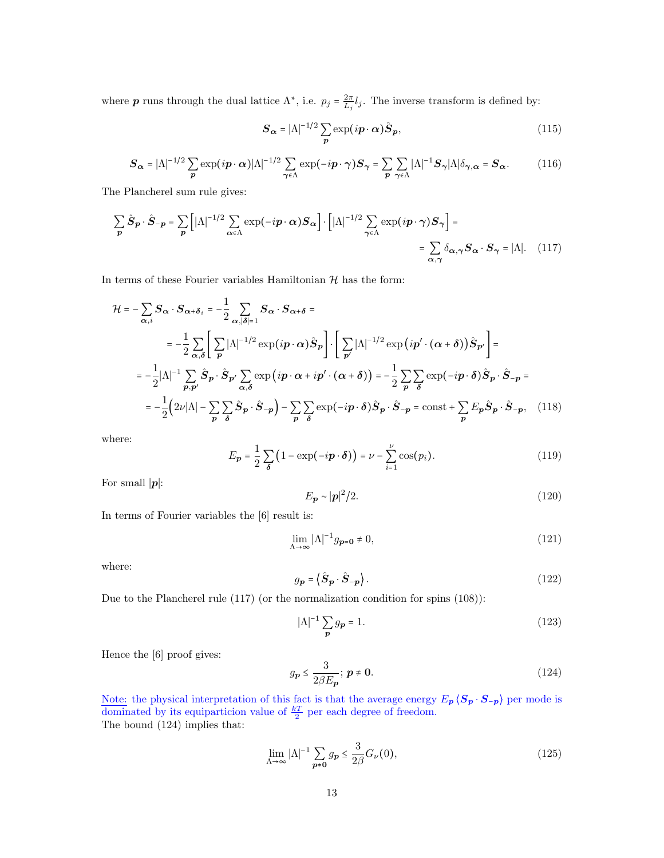where **p** runs through the dual lattice  $\Lambda^*$ , i.e.  $p_j = \frac{2\pi}{L_j} l_j$ . The inverse transform is defined by:

$$
\mathbf{S}_{\alpha} = |\Lambda|^{-1/2} \sum_{\mathbf{p}} \exp(i\mathbf{p} \cdot \alpha) \hat{\mathbf{S}}_{\mathbf{p}},
$$
(115)

$$
\boldsymbol{S}_{\alpha} = |\Lambda|^{-1/2} \sum_{\boldsymbol{p}} \exp(i\boldsymbol{p} \cdot \boldsymbol{\alpha}) |\Lambda|^{-1/2} \sum_{\gamma \in \Lambda} \exp(-i\boldsymbol{p} \cdot \boldsymbol{\gamma}) \boldsymbol{S}_{\gamma} = \sum_{\boldsymbol{p}} \sum_{\gamma \in \Lambda} |\Lambda|^{-1} \boldsymbol{S}_{\gamma} |\Lambda| \delta_{\gamma, \alpha} = \boldsymbol{S}_{\alpha}.
$$
 (116)

The Plancherel sum rule gives:

$$
\sum_{\mathbf{p}} \hat{\mathbf{S}}_{\mathbf{p}} \cdot \hat{\mathbf{S}}_{-\mathbf{p}} = \sum_{\mathbf{p}} \left[ |\Lambda|^{-1/2} \sum_{\alpha \in \Lambda} \exp(-i\mathbf{p} \cdot \alpha) \mathbf{S}_{\alpha} \right] \cdot \left[ |\Lambda|^{-1/2} \sum_{\gamma \in \Lambda} \exp(i\mathbf{p} \cdot \gamma) \mathbf{S}_{\gamma} \right] =
$$
  

$$
= \sum_{\alpha, \gamma} \delta_{\alpha, \gamma} \mathbf{S}_{\alpha} \cdot \mathbf{S}_{\gamma} = |\Lambda|.
$$
 (117)

In terms of these Fourier variables Hamiltonian  $\mathcal H$  has the form:

$$
\mathcal{H} = -\sum_{\alpha,i} \mathbf{S}_{\alpha} \cdot \mathbf{S}_{\alpha+\delta_{i}} = -\frac{1}{2} \sum_{\alpha,|\delta|=1} \mathbf{S}_{\alpha} \cdot \mathbf{S}_{\alpha+\delta} =
$$
\n
$$
= -\frac{1}{2} \sum_{\alpha,\delta} \left[ \sum_{p} |\Lambda|^{-1/2} \exp(i\mathbf{p} \cdot \alpha) \hat{\mathbf{S}}_{p} \right] \cdot \left[ \sum_{p'} |\Lambda|^{-1/2} \exp(i\mathbf{p'} \cdot (\alpha+\delta)) \hat{\mathbf{S}}_{p'} \right] =
$$
\n
$$
= -\frac{1}{2} |\Lambda|^{-1} \sum_{p,p'} \hat{\mathbf{S}}_{p} \cdot \hat{\mathbf{S}}_{p'} \sum_{\alpha,\delta} \exp(i\mathbf{p} \cdot \alpha + i\mathbf{p'} \cdot (\alpha+\delta)) = -\frac{1}{2} \sum_{p} \sum_{\delta} \exp(-i\mathbf{p} \cdot \delta) \hat{\mathbf{S}}_{p} \cdot \hat{\mathbf{S}}_{-p} =
$$
\n
$$
= -\frac{1}{2} (2\nu |\Lambda| - \sum_{p} \sum_{\delta} \hat{\mathbf{S}}_{p} \cdot \hat{\mathbf{S}}_{-p}) - \sum_{p} \sum_{\delta} \exp(-i\mathbf{p} \cdot \delta) \hat{\mathbf{S}}_{p} \cdot \hat{\mathbf{S}}_{-p} = \text{const} + \sum_{p} E_{p} \hat{\mathbf{S}}_{p} \cdot \hat{\mathbf{S}}_{-p}, \quad (118)
$$

where:

$$
E_{\mathbf{p}} = \frac{1}{2} \sum_{\delta} \left( 1 - \exp(-i\mathbf{p} \cdot \delta) \right) = \nu - \sum_{i=1}^{\nu} \cos(p_i). \tag{119}
$$

For small  $|p|$ :

$$
E_p \sim |\mathbf{p}|^2 / 2. \tag{120}
$$

In terms of Fourier variables the [6] result is:

$$
\lim_{\Lambda \to \infty} |\Lambda|^{-1} g_{\mathbf{p} = \mathbf{0}} \neq 0,\tag{121}
$$

where:

$$
g_{\mathbf{p}} = \langle \hat{\mathbf{S}}_{\mathbf{p}} \cdot \hat{\mathbf{S}}_{-\mathbf{p}} \rangle. \tag{122}
$$

Due to the Plancherel rule (117) (or the normalization condition for spins (108)):

$$
|\Lambda|^{-1} \sum_{\mathbf{p}} g_{\mathbf{p}} = 1. \tag{123}
$$

Hence the [6] proof gives:

$$
g_{\mathbf{p}} \le \frac{3}{2\beta E_{\mathbf{p}}}; \ \mathbf{p} \ne \mathbf{0}.\tag{124}
$$

Note: the physical interpretation of this fact is that the average energy  $E_p \langle S_p \cdot S_{-p} \rangle$  per mode is dominated by its equiparticion value of  $\frac{kT}{2}$  per each degree of freedom. The bound (124) implies that:

$$
\lim_{\Lambda \to \infty} |\Lambda|^{-1} \sum_{p \neq 0} g_p \le \frac{3}{2\beta} G_{\nu}(0),\tag{125}
$$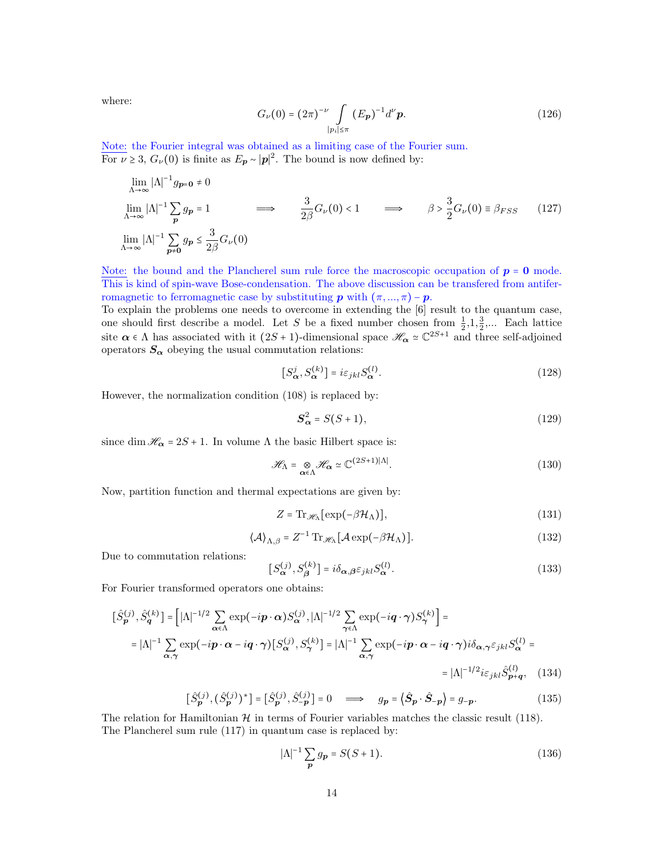where:

$$
G_{\nu}(0) = (2\pi)^{-\nu} \int_{|p_i| \le \pi} (E_{\mathbf{p}})^{-1} d^{\nu} \mathbf{p}.
$$
 (126)

Note: the Fourier integral was obtained as a limiting case of the Fourier sum. For  $\nu \geq 3$ ,  $G_{\nu}(0)$  is finite as  $E_{\mathbf{p}} \sim |\mathbf{p}|^2$ . The bound is now defined by:

$$
\lim_{\Lambda \to \infty} |\Lambda|^{-1} g_{\mathbf{p} = \mathbf{0}} \neq 0
$$
\n
$$
\lim_{\Lambda \to \infty} |\Lambda|^{-1} \sum_{\mathbf{p}} g_{\mathbf{p}} = 1 \qquad \Longrightarrow \qquad \frac{3}{2\beta} G_{\nu}(0) < 1 \qquad \Longrightarrow \qquad \beta > \frac{3}{2} G_{\nu}(0) \equiv \beta_{FSS} \qquad (127)
$$
\n
$$
\lim_{\Lambda \to \infty} |\Lambda|^{-1} \sum_{\mathbf{p} \neq \mathbf{0}} g_{\mathbf{p}} \leq \frac{3}{2\beta} G_{\nu}(0)
$$

Note: the bound and the Plancherel sum rule force the macroscopic occupation of  $p = 0$  mode. This is kind of spin-wave Bose-condensation. The above discussion can be transfered from antiferromagnetic to ferromagnetic case by substituting  $p$  with  $(\pi, ..., \pi) - p$ .

To explain the problems one needs to overcome in extending the [6] result to the quantum case, one should first describe a model. Let S be a fixed number chosen from  $\frac{1}{2}$ , 1,  $\frac{3}{2}$ ,... Each lattice site  $\alpha \in \Lambda$  has associated with it  $(2S+1)$ -dimensional space  $\mathscr{H}_{\alpha} \simeq \mathbb{C}^{2S+1}$  and three self-adjoined operators  $S_{\alpha}$  obeying the usual commutation relations:

$$
[S^j_{\alpha}, S^{(k)}_{\alpha}] = i\varepsilon_{jkl} S^{(l)}_{\alpha}.
$$
 (128)

However, the normalization condition (108) is replaced by:

$$
\mathbf{S}_{\alpha}^{2} = S(S+1),\tag{129}
$$

since  $\dim\mathscr{H}_\alpha=2S+1.$  In volume  $\Lambda$  the basic Hilbert space is:

$$
\mathcal{H}_{\Lambda} = \underset{\alpha \in \Lambda}{\otimes} \mathcal{H}_{\alpha} \simeq \mathbb{C}^{(2S+1)|\Lambda|}.
$$
 (130)

Now, partition function and thermal expectations are given by:

$$
Z = \text{Tr}_{\mathcal{H}_{\Lambda}}[\exp(-\beta \mathcal{H}_{\Lambda})],\tag{131}
$$

$$
\langle \mathcal{A} \rangle_{\Lambda,\beta} = Z^{-1} \operatorname{Tr}_{\mathscr{H}_{\Lambda}} [\mathcal{A} \exp(-\beta \mathcal{H}_{\Lambda})]. \tag{132}
$$

Due to commutation relations:

$$
[S_{\alpha}^{(j)}, S_{\beta}^{(k)}] = i\delta_{\alpha,\beta}\varepsilon_{jkl}S_{\alpha}^{(l)}.
$$
 (133)

For Fourier transformed operators one obtains:

$$
\left[\hat{S}_{\mathbf{p}}^{(j)}, \hat{S}_{\mathbf{q}}^{(k)}\right] = \left[|\Lambda|^{-1/2} \sum_{\alpha \in \Lambda} \exp(-i\mathbf{p} \cdot \alpha) S_{\alpha}^{(j)}, |\Lambda|^{-1/2} \sum_{\gamma \in \Lambda} \exp(-i\mathbf{q} \cdot \gamma) S_{\gamma}^{(k)}\right] =
$$
  
\n
$$
= |\Lambda|^{-1} \sum_{\alpha, \gamma} \exp(-i\mathbf{p} \cdot \alpha - i\mathbf{q} \cdot \gamma) \left[S_{\alpha}^{(j)}, S_{\gamma}^{(k)}\right] = |\Lambda|^{-1} \sum_{\alpha, \gamma} \exp(-i\mathbf{p} \cdot \alpha - i\mathbf{q} \cdot \gamma) i \delta_{\alpha, \gamma} \varepsilon_{jkl} S_{\alpha}^{(l)} =
$$
  
\n
$$
= |\Lambda|^{-1/2} i \varepsilon_{jkl} \hat{S}_{\mathbf{p}+\mathbf{q}}^{(l)}, \quad (134)
$$

$$
\left[\hat{S}_{\mathbf{p}}^{(j)}, (\hat{S}_{\mathbf{p}}^{(j)})^*\right] = \left[\hat{S}_{\mathbf{p}}^{(j)}, \hat{S}_{-\mathbf{p}}^{(j)}\right] = 0 \quad \Longrightarrow \quad g_{\mathbf{p}} = \left\langle \hat{S}_{\mathbf{p}} \cdot \hat{S}_{-\mathbf{p}} \right\rangle = g_{-\mathbf{p}}.\tag{135}
$$

The relation for Hamiltonian  $H$  in terms of Fourier variables matches the classic result (118). The Plancherel sum rule (117) in quantum case is replaced by:

$$
|\Lambda|^{-1} \sum_{p} g_p = S(S+1).
$$
 (136)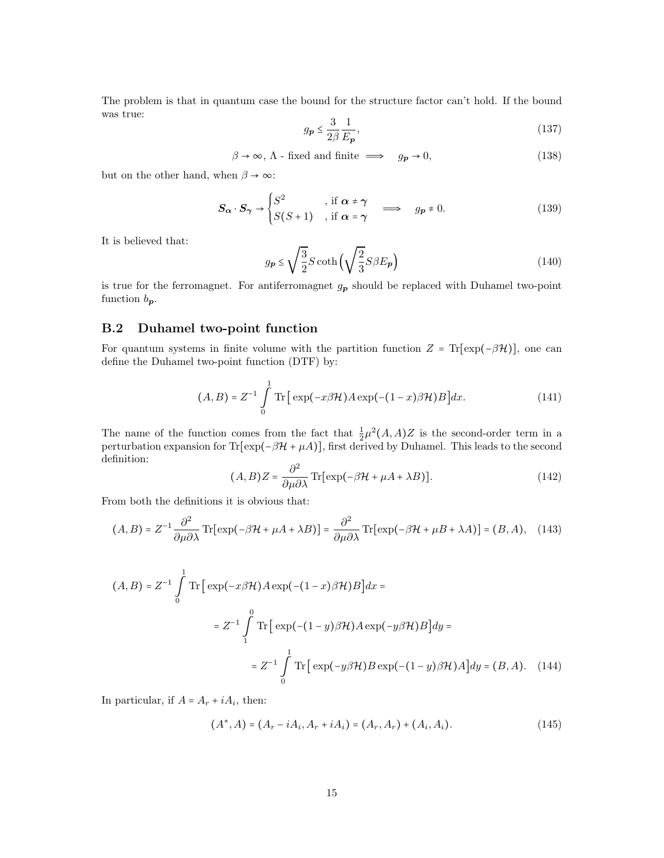The problem is that in quantum case the bound for the structure factor can't hold. If the bound was true:

$$
g_{\mathbf{p}} \le \frac{3}{2\beta} \frac{1}{E_{\mathbf{p}}},\tag{137}
$$

$$
\beta \to \infty, \Lambda \text{ - fixed and finite } \implies \quad g_p \to 0,
$$
\n(138)

but on the other hand, when  $\beta \rightarrow \infty$ :

$$
S_{\alpha} \cdot S_{\gamma} \rightarrow \begin{cases} S^2 & , \text{ if } \alpha \neq \gamma \\ S(S+1) & , \text{ if } \alpha = \gamma \end{cases} \implies g_p \neq 0.
$$
 (139)

It is believed that:

$$
g_{\mathbf{p}} \le \sqrt{\frac{3}{2}} S \coth\left(\sqrt{\frac{2}{3}} S \beta E_{\mathbf{p}}\right) \tag{140}
$$

is true for the ferromagnet. For antiferromagnet  $g_p$  should be replaced with Duhamel two-point function  $b_p$ .

### B.2 Duhamel two-point function

For quantum systems in finite volume with the partition function  $Z = \text{Tr}[\exp(-\beta \mathcal{H})]$ , one can define the Duhamel two-point function (DTF) by:

$$
(A, B) = Z^{-1} \int_{0}^{1} \text{Tr} \left[ \exp(-x\beta \mathcal{H}) A \exp(-(1-x)\beta \mathcal{H}) B \right] dx.
$$
 (141)

The name of the function comes from the fact that  $\frac{1}{2}\mu^2(A, A)Z$  is the second-order term in a perturbation expansion for  $\text{Tr}[\exp(-\beta \mathcal{H} + \mu A)],$  first derived by Duhamel. This leads to the second definition:

$$
(A, B)Z = \frac{\partial^2}{\partial \mu \partial \lambda} \text{Tr}[\exp(-\beta \mathcal{H} + \mu A + \lambda B)].
$$
 (142)

From both the definitions it is obvious that:

$$
(A, B) = Z^{-1} \frac{\partial^2}{\partial \mu \partial \lambda} \operatorname{Tr}[\exp(-\beta \mathcal{H} + \mu A + \lambda B)] = \frac{\partial^2}{\partial \mu \partial \lambda} \operatorname{Tr}[\exp(-\beta \mathcal{H} + \mu B + \lambda A)] = (B, A), \quad (143)
$$

$$
(A, B) = Z^{-1} \int_{0}^{1} \text{Tr} \left[ \exp(-x\beta \mathcal{H}) A \exp(-(1-x)\beta \mathcal{H}) B \right] dx =
$$
  

$$
= Z^{-1} \int_{1}^{0} \text{Tr} \left[ \exp(-(1-y)\beta \mathcal{H}) A \exp(-y\beta \mathcal{H}) B \right] dy =
$$
  

$$
= Z^{-1} \int_{0}^{1} \text{Tr} \left[ \exp(-y\beta \mathcal{H}) B \exp(-(1-y)\beta \mathcal{H}) A \right] dy = (B, A). \quad (144)
$$

In particular, if  $A = A_r + iA_i$ , then:

$$
(A^*, A) = (A_r - iA_i, A_r + iA_i) = (A_r, A_r) + (A_i, A_i). \tag{145}
$$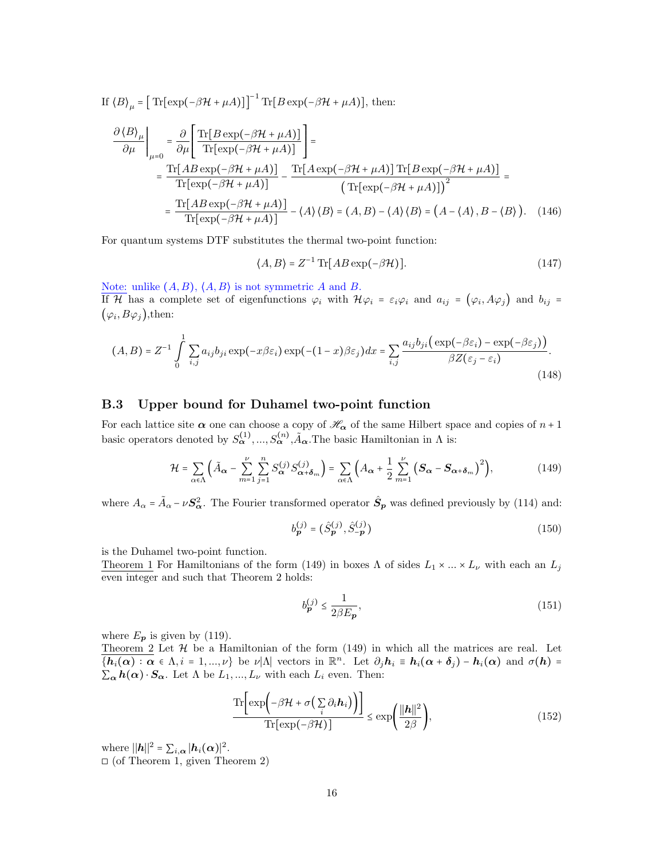If 
$$
\langle B \rangle_{\mu} = [\text{Tr}[\exp(-\beta \mathcal{H} + \mu A)]]^{-1} \text{Tr}[B \exp(-\beta \mathcal{H} + \mu A)], \text{ then:}
$$
  
\n
$$
\frac{\partial \langle B \rangle_{\mu}}{\partial \mu} \Big|_{\mu=0} = \frac{\partial}{\partial \mu} \Bigg[ \frac{\text{Tr}[B \exp(-\beta \mathcal{H} + \mu A)]}{\text{Tr}[\exp(-\beta \mathcal{H} + \mu A)]} \Bigg] =
$$
\n
$$
= \frac{\text{Tr}[AB \exp(-\beta \mathcal{H} + \mu A)]}{\text{Tr}[\exp(-\beta \mathcal{H} + \mu A)]} - \frac{\text{Tr}[A \exp(-\beta \mathcal{H} + \mu A)] \text{Tr}[B \exp(-\beta \mathcal{H} + \mu A)]}{(\text{Tr}[\exp(-\beta \mathcal{H} + \mu A)])^2} =
$$
\n
$$
= \frac{\text{Tr}[AB \exp(-\beta \mathcal{H} + \mu A)]}{\text{Tr}[\exp(-\beta \mathcal{H} + \mu A)]} - \langle A \rangle \langle B \rangle = (A, B) - \langle A \rangle \langle B \rangle = (A - \langle A \rangle, B - \langle B \rangle). \quad (146)
$$

For quantum systems DTF substitutes the thermal two-point function:

$$
\langle A, B \rangle = Z^{-1} \operatorname{Tr} [AB \exp(-\beta \mathcal{H})]. \tag{147}
$$

Note: unlike  $(A, B)$ ,  $\langle A, B \rangle$  is not symmetric A and B. If H has a complete set of eigenfunctions  $\varphi_i$  with  $\mathcal{H}\varphi_i = \varepsilon_i\varphi_i$  and  $a_{ij} = (\varphi_i, A\varphi_j)$  and  $b_{ij} =$  $(\varphi_i, B\varphi_j)$ , then:

$$
(A, B) = Z^{-1} \int_{0}^{1} \sum_{i,j} a_{ij} b_{ji} \exp(-x\beta \varepsilon_i) \exp(-(1-x)\beta \varepsilon_j) dx = \sum_{i,j} \frac{a_{ij} b_{ji} (\exp(-\beta \varepsilon_i) - \exp(-\beta \varepsilon_j))}{\beta Z(\varepsilon_j - \varepsilon_i)}.
$$
\n(148)

### B.3 Upper bound for Duhamel two-point function

For each lattice site  $\alpha$  one can choose a copy of  $\mathcal{H}_{\alpha}$  of the same Hilbert space and copies of  $n+1$ basic operators denoted by  $S_{\alpha}^{(1)},...,S_{\alpha}^{(n)},\tilde{A}_{\alpha}$ . The basic Hamiltonian in  $\Lambda$  is:

$$
\mathcal{H} = \sum_{\alpha \in \Lambda} \left( \tilde{A}_{\alpha} - \sum_{m=1}^{\nu} \sum_{j=1}^{n} S_{\alpha}^{(j)} S_{\alpha + \delta_m}^{(j)} \right) = \sum_{\alpha \in \Lambda} \left( A_{\alpha} + \frac{1}{2} \sum_{m=1}^{\nu} \left( S_{\alpha} - S_{\alpha + \delta_m} \right)^2 \right),\tag{149}
$$

where  $A_{\alpha} = \tilde{A}_{\alpha} - \nu S_{\alpha}^2$ . The Fourier transformed operator  $\hat{S}_{p}$  was defined previously by (114) and:

$$
b_{\mathbf{p}}^{(j)} = (\hat{S}_{\mathbf{p}}^{(j)}, \hat{S}_{-\mathbf{p}}^{(j)})
$$
\n(150)

is the Duhamel two-point function.

Theorem 1 For Hamiltonians of the form (149) in boxes  $\Lambda$  of sides  $L_1 \times ... \times L_{\nu}$  with each an  $L_j$ even integer and such that Theorem 2 holds:

$$
b_{\mathbf{p}}^{(j)} \le \frac{1}{2\beta E_{\mathbf{p}}},\tag{151}
$$

where  $E_p$  is given by (119).

Theorem  $2$  Let  $H$  be a Hamiltonian of the form  $(149)$  in which all the matrices are real. Let  $\overline{\{h_i(\alpha): \alpha \in \Lambda, i = 1, ..., \nu\}}$  be  $\nu|\Lambda|$  vectors in  $\mathbb{R}^n$ . Let  $\partial_j h_i \equiv h_i(\alpha + \delta_j) - h_i(\alpha)$  and  $\sigma(h) =$  $\sum_{\alpha} h(\alpha) \cdot S_{\alpha}$ . Let  $\Lambda$  be  $L_1, ..., L_{\nu}$  with each  $L_i$  even. Then:

$$
\frac{\text{Tr}\left[\exp\left(-\beta \mathcal{H} + \sigma\left(\sum_{i} \partial_{i} \mathbf{h}_{i}\right)\right)\right]}{\text{Tr}\left[\exp\left(-\beta \mathcal{H}\right)\right]} \le \exp\left(\frac{\|\mathbf{h}\|^{2}}{2\beta}\right),\tag{152}
$$

where  $\|\boldsymbol{h}\|^2 = \sum_{i,\boldsymbol{\alpha}} |\boldsymbol{h}_i(\boldsymbol{\alpha})|^2$ .  $\Box$  (of Theorem 1, given Theorem 2)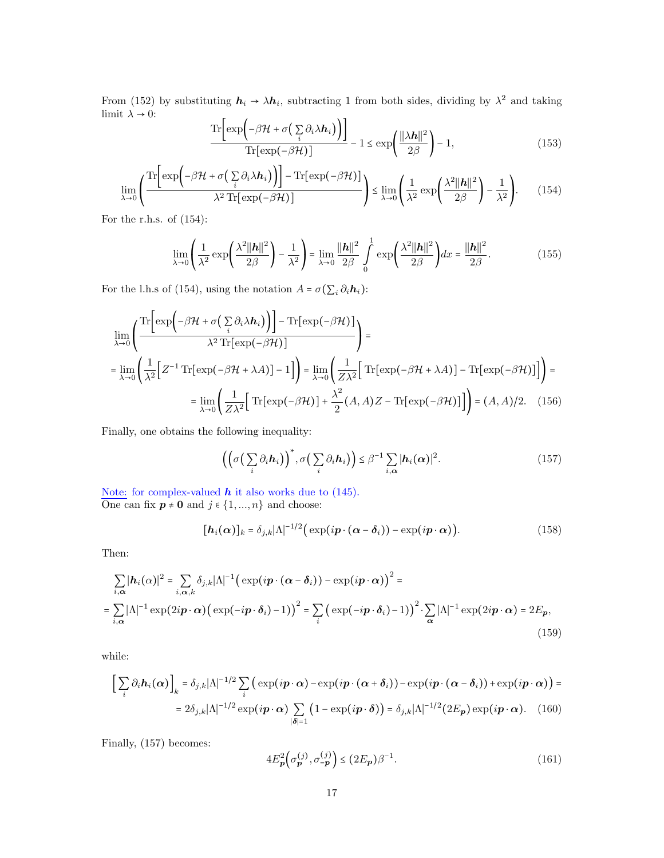From (152) by substituting  $h_i \to \lambda h_i$ , subtracting 1 from both sides, dividing by  $\lambda^2$  and taking limit  $\lambda \to 0$ :  $\sqrt{1}$  $\mathbf{r}$   $\mathbf{r}$ 

$$
\frac{\text{Tr}\left[\exp\left(-\beta \mathcal{H} + \sigma\left(\sum_{i} \partial_{i} \lambda \mathbf{h}_{i}\right)\right)\right]}{\text{Tr}\left[\exp\left(-\beta \mathcal{H}\right)\right]} - 1 \le \exp\left(\frac{\|\lambda \mathbf{h}\|^{2}}{2\beta}\right) - 1, \tag{153}
$$

$$
\lim_{\lambda \to 0} \left( \frac{\text{Tr}\left[\exp\left(-\beta \mathcal{H} + \sigma\left(\sum_{i} \partial_{i} \lambda \mathbf{h}_{i}\right)\right)\right] - \text{Tr}\left[\exp\left(-\beta \mathcal{H}\right)\right]}{\lambda^{2} \text{Tr}\left[\exp\left(-\beta \mathcal{H}\right)\right]}\right) \leq \lim_{\lambda \to 0} \left( \frac{1}{\lambda^{2}} \exp\left(\frac{\lambda^{2} ||\mathbf{h}||^{2}}{2\beta}\right) - \frac{1}{\lambda^{2}}\right).
$$
(154)

For the r.h.s. of (154):

$$
\lim_{\lambda \to 0} \left( \frac{1}{\lambda^2} \exp\left( \frac{\lambda^2 ||\boldsymbol{h}||^2}{2\beta} \right) - \frac{1}{\lambda^2} \right) = \lim_{\lambda \to 0} \frac{||\boldsymbol{h}||^2}{2\beta} \int_0^1 \exp\left( \frac{\lambda^2 ||\boldsymbol{h}||^2}{2\beta} \right) dx = \frac{||\boldsymbol{h}||^2}{2\beta}.
$$
 (155)

For the l.h.s of (154), using the notation  $A = \sigma(\sum_i \partial_i \mathbf{h}_i)$ :

$$
\lim_{\lambda \to 0} \left( \frac{\text{Tr}\left[\exp\left(-\beta \mathcal{H} + \sigma\left(\sum_{i} \partial_{i} \lambda \mathbf{h}_{i}\right)\right)\right] - \text{Tr}\left[\exp\left(-\beta \mathcal{H}\right)\right]}{\lambda^{2} \text{Tr}\left[\exp\left(-\beta \mathcal{H}\right)\right]} \right) =
$$
\n
$$
= \lim_{\lambda \to 0} \left( \frac{1}{\lambda^{2}} \left[ Z^{-1} \text{Tr}\left[\exp\left(-\beta \mathcal{H} + \lambda A\right)\right] - 1 \right] \right) = \lim_{\lambda \to 0} \left( \frac{1}{Z\lambda^{2}} \left[ \text{Tr}\left[\exp\left(-\beta \mathcal{H} + \lambda A\right)\right] - \text{Tr}\left[\exp\left(-\beta \mathcal{H}\right)\right] \right] \right) =
$$
\n
$$
= \lim_{\lambda \to 0} \left( \frac{1}{Z\lambda^{2}} \left[ \text{Tr}\left[\exp\left(-\beta \mathcal{H}\right)\right] + \frac{\lambda^{2}}{2} (A, A) Z - \text{Tr}\left[\exp\left(-\beta \mathcal{H}\right)\right] \right] \right) = (A, A)/2. \quad (156)
$$

Finally, one obtains the following inequality:

$$
\left( \left( \sigma \left( \sum_{i} \partial_{i} \mathbf{h}_{i} \right) \right)^{*}, \sigma \left( \sum_{i} \partial_{i} \mathbf{h}_{i} \right) \right) \leq \beta^{-1} \sum_{i, \alpha} \left| \mathbf{h}_{i}(\alpha) \right|^{2}.
$$
\n(157)

Note: for complex-valued  $h$  it also works due to (145). One can fix  $p \neq 0$  and  $j \in \{1, ..., n\}$  and choose:

$$
[\boldsymbol{h}_i(\boldsymbol{\alpha})]_k = \delta_{j,k} |\Lambda|^{-1/2} \big( \exp(i\boldsymbol{p} \cdot (\boldsymbol{\alpha} - \boldsymbol{\delta}_i)) - \exp(i\boldsymbol{p} \cdot \boldsymbol{\alpha}) \big). \tag{158}
$$

Then:

$$
\sum_{i,\alpha} |\mathbf{h}_i(\alpha)|^2 = \sum_{i,\alpha,k} \delta_{j,k} |\Lambda|^{-1} \Big( \exp(i\mathbf{p} \cdot (\alpha - \delta_i)) - \exp(i\mathbf{p} \cdot \alpha) \Big)^2 =
$$
  
= 
$$
\sum_{i,\alpha} |\Lambda|^{-1} \exp(2i\mathbf{p} \cdot \alpha) \Big( \exp(-i\mathbf{p} \cdot \delta_i) - 1) \Big)^2 = \sum_i \Big( \exp(-i\mathbf{p} \cdot \delta_i) - 1 \Big)^2 \cdot \sum_{\alpha} |\Lambda|^{-1} \exp(2i\mathbf{p} \cdot \alpha) = 2E_{\mathbf{p}},
$$
 (159)

while:

$$
\left[\sum_{i} \partial_{i} \mathbf{h}_{i}(\boldsymbol{\alpha})\right]_{k} = \delta_{j,k} |\Lambda|^{-1/2} \sum_{i} \left( \exp(i\mathbf{p} \cdot \boldsymbol{\alpha}) - \exp(i\mathbf{p} \cdot (\boldsymbol{\alpha} + \boldsymbol{\delta}_{i})) - \exp(i\mathbf{p} \cdot (\boldsymbol{\alpha} - \boldsymbol{\delta}_{i})) + \exp(i\mathbf{p} \cdot \boldsymbol{\alpha}) \right) =
$$
  
=  $2\delta_{j,k} |\Lambda|^{-1/2} \exp(i\mathbf{p} \cdot \boldsymbol{\alpha}) \sum_{|\boldsymbol{\delta}|=1} \left(1 - \exp(i\mathbf{p} \cdot \boldsymbol{\delta})\right) = \delta_{j,k} |\Lambda|^{-1/2} (2E_{\mathbf{p}}) \exp(i\mathbf{p} \cdot \boldsymbol{\alpha}).$  (160)

Finally, (157) becomes:

$$
4E_{\mathbf{p}}^{2}\left(\sigma_{\mathbf{p}}^{(j)}, \sigma_{-\mathbf{p}}^{(j)}\right) \leq (2E_{\mathbf{p}})\beta^{-1}.
$$
\n(161)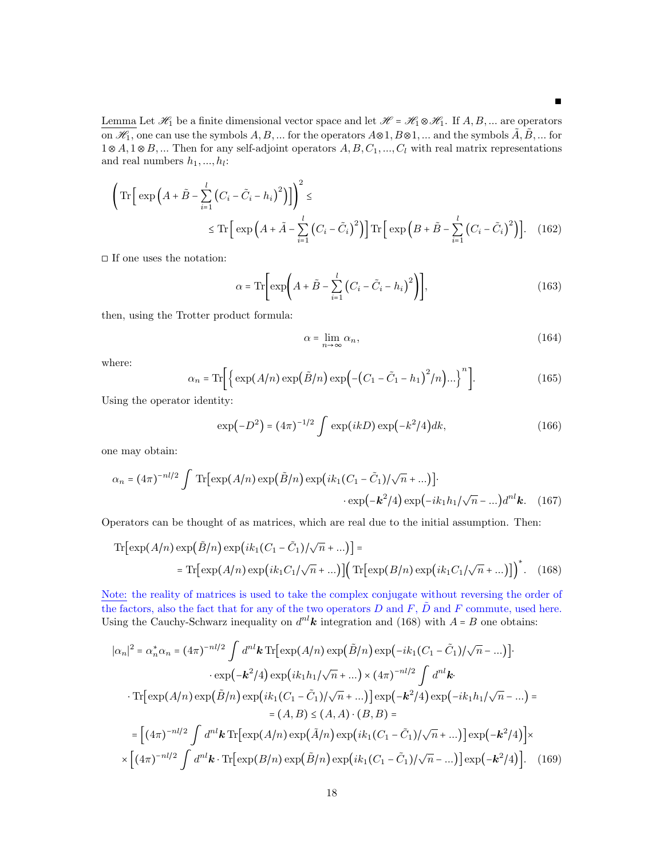Lemma Let  $\mathcal{H}_1$  be a finite dimensional vector space and let  $\mathcal{H} = \mathcal{H}_1 \otimes \mathcal{H}_1$ . If  $A, B, ...$  are operators on  $\mathcal{H}_1$ , one can use the symbols  $A, B, \ldots$  for the operators  $A \otimes 1, B \otimes 1, \ldots$  and the symbols  $\tilde{A}, \tilde{B}, \ldots$  for  $1 \otimes A, 1 \otimes B, \dots$  Then for any self-adjoint operators  $A, B, C_1, \dots, C_l$  with real matrix representations and real numbers  $h_1, ..., h_l$ :

$$
\left(\operatorname{Tr}\left[\exp\left(A+\tilde{B}-\sum_{i=1}^{l}\left(C_{i}-\tilde{C}_{i}-h_{i}\right)^{2}\right)\right]\right)^{2} \leq
$$
\n
$$
\leq \operatorname{Tr}\left[\exp\left(A+\tilde{A}-\sum_{i=1}^{l}\left(C_{i}-\tilde{C}_{i}\right)^{2}\right)\right]\operatorname{Tr}\left[\exp\left(B+\tilde{B}-\sum_{i=1}^{l}\left(C_{i}-\tilde{C}_{i}\right)^{2}\right)\right].\tag{162}
$$

 $\square$  <br> If one uses the notation:

$$
\alpha = \text{Tr}\bigg[\exp\bigg(A + \tilde{B} - \sum_{i=1}^{l} \left(C_i - \tilde{C}_i - h_i\right)^2\bigg)\bigg],\tag{163}
$$

then, using the Trotter product formula:

$$
\alpha = \lim_{n \to \infty} \alpha_n,\tag{164}
$$

∎

where:

$$
\alpha_n = \text{Tr}\bigg[\bigg\{\exp(A/n)\exp(\tilde{B}/n)\exp\bigg(-\big(C_1-\tilde{C}_1-h_1)^2/n\big)\bigg].\bigg]^n\bigg].\tag{165}
$$

Using the operator identity:

$$
\exp(-D^2) = (4\pi)^{-1/2} \int \exp(ikD) \exp(-k^2/4) dk, \qquad (166)
$$

one may obtain:

$$
\alpha_n = (4\pi)^{-nl/2} \int \text{Tr} \left[ \exp(A/n) \exp(\tilde{B}/n) \exp(ik_1(C_1 - \tilde{C}_1)/\sqrt{n} + \ldots) \right] \cdot \exp(-k^2/4) \exp(-ik_1h_1/\sqrt{n} - \ldots) d^{nl}k. \quad (167)
$$

Operators can be thought of as matrices, which are real due to the initial assumption. Then:

$$
\text{Tr}\left[\exp(A/n)\exp(\tilde{B}/n)\exp(ik_1(C_1-\tilde{C}_1)/\sqrt{n}+...)\right] =
$$
  
= 
$$
\text{Tr}\left[\exp(A/n)\exp(ik_1C_1/\sqrt{n}+...)\right]\left(\text{Tr}\left[\exp(B/n)\exp(ik_1C_1/\sqrt{n}+...)\right]\right)^*.
$$
 (168)

Note: the reality of matrices is used to take the complex conjugate without reversing the order of the factors, also the fact that for any of the two operators D and F,  $\tilde{D}$  and F commute, used here. Using the Cauchy-Schwarz inequality on  $d^{nl}k$  integration and (168) with  $A = B$  one obtains:

$$
|\alpha_n|^2 = \alpha_n^* \alpha_n = (4\pi)^{-n l/2} \int d^{n l} \mathbf{k} \, \text{Tr} \big[ \exp(A/n) \exp(\tilde{B}/n) \exp(-ik_1(C_1 - \tilde{C}_1)/\sqrt{n} - \dots) \big] \cdot \exp(-\mathbf{k}^2/4) \exp(ik_1 h_1/\sqrt{n} + \dots) \times (4\pi)^{-n l/2} \int d^{n l} \mathbf{k} \cdot \text{Tr} \big[ \exp(A/n) \exp(\tilde{B}/n) \exp(ik_1(C_1 - \tilde{C}_1)/\sqrt{n} + \dots) \big] \exp(-\mathbf{k}^2/4) \exp(-ik_1 h_1/\sqrt{n} - \dots) =
$$
  
\n
$$
= (A, B) \le (A, A) \cdot (B, B) =
$$
  
\n
$$
= \big[ (4\pi)^{-n l/2} \int d^{n l} \mathbf{k} \, \text{Tr} \big[ \exp(A/n) \exp(\tilde{A}/n) \exp(ik_1(C_1 - \tilde{C}_1)/\sqrt{n} + \dots) \big] \exp(-\mathbf{k}^2/4) \big] \times
$$
  
\n
$$
\times \big[ (4\pi)^{-n l/2} \int d^{n l} \mathbf{k} \cdot \text{Tr} \big[ \exp(B/n) \exp(\tilde{B}/n) \exp(ik_1(C_1 - \tilde{C}_1)/\sqrt{n} - \dots) \big] \exp(-\mathbf{k}^2/4) \big]. \quad (169)
$$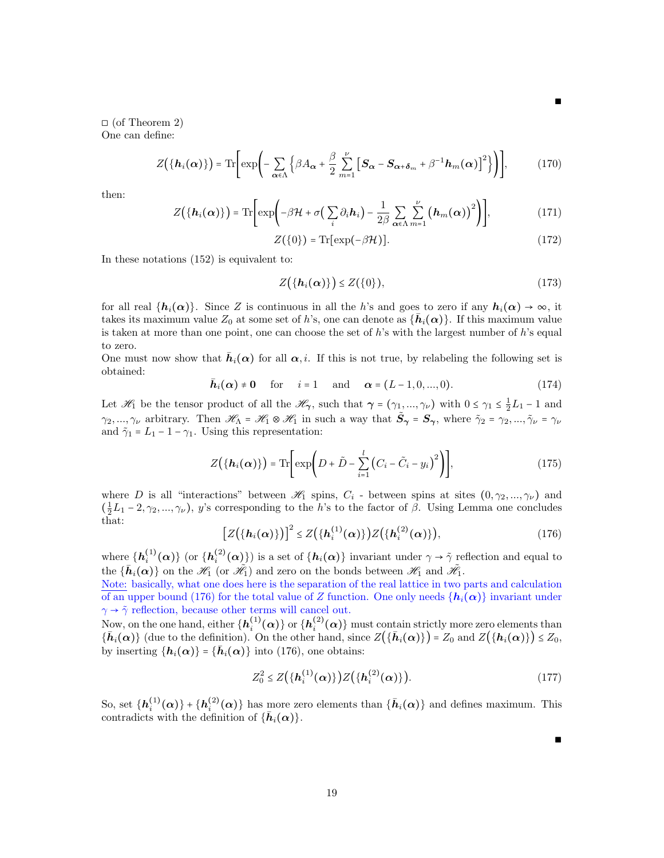$\Box$  (of Theorem 2) One can define:

$$
Z(\lbrace \mathbf{h}_i(\boldsymbol{\alpha}) \rbrace) = \text{Tr}\bigg[\exp\bigg(-\sum_{\boldsymbol{\alpha} \in \Lambda} \Big\{\beta A_{\boldsymbol{\alpha}} + \frac{\beta}{2} \sum_{m=1}^{\nu} \Big[ \mathbf{S}_{\boldsymbol{\alpha}} - \mathbf{S}_{\boldsymbol{\alpha} + \boldsymbol{\delta}_m} + \beta^{-1} \mathbf{h}_m(\boldsymbol{\alpha}) \Big]^2 \Big\} \bigg)\bigg],\tag{170}
$$

then:

$$
Z(\lbrace \mathbf{h}_i(\boldsymbol{\alpha}) \rbrace) = \text{Tr}\bigg[\exp\bigg(-\beta \mathcal{H} + \sigma\big(\sum_i \partial_i \mathbf{h}_i\big) - \frac{1}{2\beta} \sum_{\boldsymbol{\alpha} \in \Lambda} \sum_{m=1}^{\nu} \big(\mathbf{h}_m(\boldsymbol{\alpha})\big)^2\bigg)\bigg],\tag{171}
$$

$$
Z(\{0\}) = \text{Tr}[\exp(-\beta \mathcal{H})]. \tag{172}
$$

In these notations (152) is equivalent to:

$$
Z(\lbrace h_i(\alpha)\rbrace) \leq Z(\lbrace 0\rbrace),\tag{173}
$$

for all real  $\{h_i(\alpha)\}\$ . Since Z is continuous in all the h's and goes to zero if any  $h_i(\alpha) \to \infty$ , it takes its maximum value  $Z_0$  at some set of h's, one can denote as  $\{\bar{h}_i(\alpha)\}\$ . If this maximum value is taken at more than one point, one can choose the set of  $h$ 's with the largest number of  $h$ 's equal to zero.

One must now show that  $\bar{h}_i(\alpha)$  for all  $\alpha, i$ . If this is not true, by relabeling the following set is obtained:

$$
\bar{\boldsymbol{h}}_i(\boldsymbol{\alpha}) \neq \mathbf{0} \quad \text{for} \quad i = 1 \quad \text{and} \quad \boldsymbol{\alpha} = (L-1, 0, ..., 0). \tag{174}
$$

Let  $\mathscr{H}_1$  be the tensor product of all the  $\mathscr{H}_{\gamma}$ , such that  $\gamma = (\gamma_1, ..., \gamma_\nu)$  with  $0 \le \gamma_1 \le \frac{1}{2}L_1 - 1$  and  $\gamma_2, ..., \gamma_\nu$  arbitrary. Then  $\mathscr{H}_\Lambda = \mathscr{H}_1 \otimes \mathscr{H}_1$  in such a way that  $\tilde{S}_\gamma = S_\gamma$ , where  $\tilde{\gamma}_2 = \gamma_2, ..., \tilde{\gamma}_\nu = \gamma_\nu$ and  $\tilde{\gamma}_1 = L_1 - 1 - \gamma_1$ . Using this representation:

$$
Z(\lbrace h_i(\alpha)\rbrace) = \text{Tr}\bigg[\exp\bigg(D + \tilde{D} - \sum_{i=1}^l (C_i - \tilde{C}_i - y_i)^2\bigg)\bigg],\tag{175}
$$

where D is all "interactions" between  $\mathscr{H}_1$  spins,  $C_i$  - between spins at sites  $(0, \gamma_2, ..., \gamma_\nu)$  and  $(\frac{1}{2}L_1-2,\gamma_2,\ldots,\gamma_\nu)$ , y's corresponding to the h's to the factor of  $\beta$ . Using Lemma one concludes that:

$$
[Z({hi(\alpha)})^2] \leq Z({hi(1)(\alpha)})Z({hi(2)(\alpha)}), \qquad (176)
$$

where  $\{h_i^{(1)}(\alpha)\}\$  (or  $\{h_i^{(2)}(\alpha)\}\$ ) is a set of  $\{h_i(\alpha)\}\$  invariant under  $\gamma \to \tilde{\gamma}$  reflection and equal to the  $\{\bar{h}_i(\alpha)\}$  on the  $\mathcal{H}_1$  (or  $\tilde{\mathcal{H}}_1$ ) and zero on the bonds between  $\mathcal{H}_1$  and  $\tilde{\mathcal{H}}_1$ .

Note: basically, what one does here is the separation of the real lattice in two parts and calculation of an upper bound (176) for the total value of Z function. One only needs  $\{h_i(\alpha)\}\$ invariant under  $\gamma \rightarrow \tilde{\gamma}$  reflection, because other terms will cancel out.

Now, on the one hand, either  $\{\bm h_i^{(1)}(\bm\alpha)\}$  or  $\{\bm h_i^{(2)}(\bm\alpha)\}$  must contain strictly more zero elements than  ${\{\bar{\bm{h}}_i(\bm{\alpha})\}}$  (due to the definition). On the other hand, since  $Z({\{\bar{\bm{h}}_i(\bm{\alpha})\}}) = Z_0$  and  $Z({\{\bm{h}_i(\bm{\alpha})\}}) \le Z_0$ , by inserting  $\{\boldsymbol{h}_i(\boldsymbol{\alpha})\} = \{\boldsymbol{\bar{h}}_i(\boldsymbol{\alpha})\}$  into (176), one obtains:

$$
Z_0^2 \le Z(\{h_i^{(1)}(\alpha)\})Z(\{h_i^{(2)}(\alpha)\}).
$$
\n(177)

So, set  $\{\boldsymbol{h}_i^{(1)}(\boldsymbol{\alpha})\} + \{\boldsymbol{h}_i^{(2)}(\boldsymbol{\alpha})\}$  has more zero elements than  $\{\bar{\boldsymbol{h}}_i(\boldsymbol{\alpha})\}$  and defines maximum. This contradicts with the definition of  $\{\bar{h}_i(\alpha)\}.$ 

∎

∎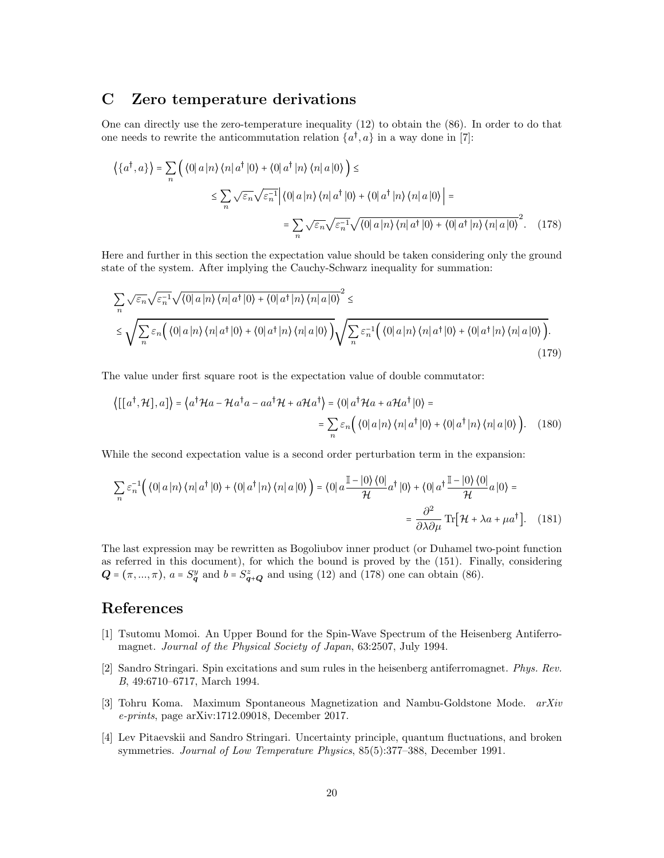## C Zero temperature derivations

One can directly use the zero-temperature inequality (12) to obtain the (86). In order to do that one needs to rewrite the anticommutation relation  $\{a^{\dagger}, a\}$  in a way done in [7]:

$$
\left\langle \{a^{\dagger},a\}\right\rangle = \sum_{n} \left(\langle 0|a|n\rangle\langle n|a^{\dagger}|0\rangle + \langle 0|a^{\dagger}|n\rangle\langle n|a|0\rangle\right) \le
$$
  

$$
\leq \sum_{n} \sqrt{\varepsilon_{n}} \sqrt{\varepsilon_{n}^{-1}} \left|\langle 0|a|n\rangle\langle n|a^{\dagger}|0\rangle + \langle 0|a^{\dagger}|n\rangle\langle n|a|0\rangle\right| =
$$
  

$$
= \sum_{n} \sqrt{\varepsilon_{n}} \sqrt{\varepsilon_{n}^{-1}} \sqrt{\langle 0|a|n\rangle\langle n|a^{\dagger}|0\rangle + \langle 0|a^{\dagger}|n\rangle\langle n|a|0\rangle}^{2}.
$$
 (178)

Here and further in this section the expectation value should be taken considering only the ground state of the system. After implying the Cauchy-Schwarz inequality for summation:

$$
\sum_{n} \sqrt{\varepsilon_{n}} \sqrt{\varepsilon_{n}^{-1}} \sqrt{\langle 0 | a | n \rangle \langle n | a^{\dagger} | 0 \rangle + \langle 0 | a^{\dagger} | n \rangle \langle n | a | 0 \rangle}^{2} \le
$$
\n
$$
\leq \sqrt{\sum_{n} \varepsilon_{n} \Big( \langle 0 | a | n \rangle \langle n | a^{\dagger} | 0 \rangle + \langle 0 | a^{\dagger} | n \rangle \langle n | a | 0 \rangle \Big)} \sqrt{\sum_{n} \varepsilon_{n}^{-1} \Big( \langle 0 | a | n \rangle \langle n | a^{\dagger} | 0 \rangle + \langle 0 | a^{\dagger} | n \rangle \langle n | a | 0 \rangle \Big)}.
$$
\n(179)

The value under first square root is the expectation value of double commutator:

$$
\left\{ \left[ \left[ a^{\dagger}, \mathcal{H} \right], a \right] \right\} = \left\{ a^{\dagger} \mathcal{H} a - \mathcal{H} a^{\dagger} a - a a^{\dagger} \mathcal{H} + a \mathcal{H} a^{\dagger} \right\} = \left\{ 0 \right| a^{\dagger} \mathcal{H} a + a \mathcal{H} a^{\dagger} \left| 0 \right\rangle =
$$
  

$$
= \sum_{n} \varepsilon_{n} \left( \left\langle 0 \right| a \left| n \right\rangle \left\langle n \right| a^{\dagger} \left| 0 \right\rangle + \left\langle 0 \right| a^{\dagger} \left| n \right\rangle \left\langle n \right| a \left| 0 \right\rangle \right).
$$
 (180)

While the second expectation value is a second order perturbation term in the expansion:

$$
\sum_{n} \varepsilon_{n}^{-1} \Big( \langle 0 | a | n \rangle \langle n | a^{\dagger} | 0 \rangle + \langle 0 | a^{\dagger} | n \rangle \langle n | a | 0 \rangle \Big) = \langle 0 | a \frac{\mathbb{I} - | 0 \rangle \langle 0 |}{\mathcal{H}} a^{\dagger} | 0 \rangle + \langle 0 | a^{\dagger} \frac{\mathbb{I} - | 0 \rangle \langle 0 |}{\mathcal{H}} a | 0 \rangle =
$$

$$
= \frac{\partial^{2}}{\partial \lambda \partial \mu} \text{Tr} \Big[ \mathcal{H} + \lambda a + \mu a^{\dagger} \Big]. \quad (181)
$$

The last expression may be rewritten as Bogoliubov inner product (or Duhamel two-point function as referred in this document), for which the bound is proved by the (151). Finally, considering  $Q = (\pi, ..., \pi)$ ,  $a = S_q^y$  and  $b = S_{q+Q}^z$  and using (12) and (178) one can obtain (86).

## References

- [1] Tsutomu Momoi. An Upper Bound for the Spin-Wave Spectrum of the Heisenberg Antiferromagnet. Journal of the Physical Society of Japan, 63:2507, July 1994.
- [2] Sandro Stringari. Spin excitations and sum rules in the heisenberg antiferromagnet. Phys. Rev. B, 49:6710–6717, March 1994.
- [3] Tohru Koma. Maximum Spontaneous Magnetization and Nambu-Goldstone Mode. arXiv e-prints, page arXiv:1712.09018, December 2017.
- [4] Lev Pitaevskii and Sandro Stringari. Uncertainty principle, quantum fluctuations, and broken symmetries. Journal of Low Temperature Physics, 85(5):377–388, December 1991.